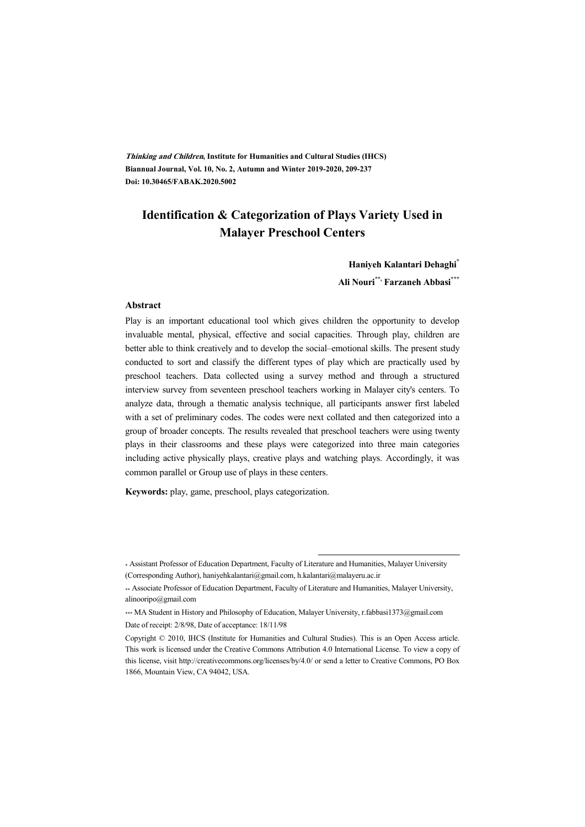**Thinking and Children, Institute for Humanities and Cultural Studies (IHCS) Biannual Journal, Vol. 10, No. 2, Autumn and Winter 2019-2020, 209-237 Doi: 10.30465/FABAK.2020.5002** 

## **Identification & Categorization of Plays Variety Used in Malayer Preschool Centers**

**Haniyeh Kalantari Dehaghi\***

**Ali Nouri\*\*, Farzaneh Abbasi\*\*\***

#### **Abstract**

Play is an important educational tool which gives children the opportunity to develop invaluable mental, physical, effective and social capacities. Through play, children are better able to think creatively and to develop the social–emotional skills. The present study conducted to sort and classify the different types of play which are practically used by preschool teachers. Data collected using a survey method and through a structured interview survey from seventeen preschool teachers working in Malayer city's centers. To analyze data, through a thematic analysis technique, all participants answer first labeled with a set of preliminary codes. The codes were next collated and then categorized into a group of broader concepts. The results revealed that preschool teachers were using twenty plays in their classrooms and these plays were categorized into three main categories including active physically plays, creative plays and watching plays. Accordingly, it was common parallel or Group use of plays in these centers.

**Keywords:** play, game, preschool, plays categorization.

:

<sup>\*</sup> Assistant Professor of Education Department, Faculty of Literature and Humanities, Malayer University (Corresponding Author), haniyehkalantari@gmail.com, h.kalantari@malayeru.ac.ir

<sup>\*\*</sup> Associate Professor of Education Department, Faculty of Literature and Humanities, Malayer University, alinooripo@gmail.com

<sup>\*\*\*</sup> MA Student in History and Philosophy of Education, Malayer University, r.fabbasi1373@gmail.com Date of receipt: 2/8/98, Date of acceptance: 18/11/98

Copyright © 2010, IHCS (Institute for Humanities and Cultural Studies). This is an Open Access article. This work is licensed under the Creative Commons Attribution 4.0 International License. To view a copy of this license, visit http://creativecommons.org/licenses/by/4.0/ or send a letter to Creative Commons, PO Box 1866, Mountain View, CA 94042, USA.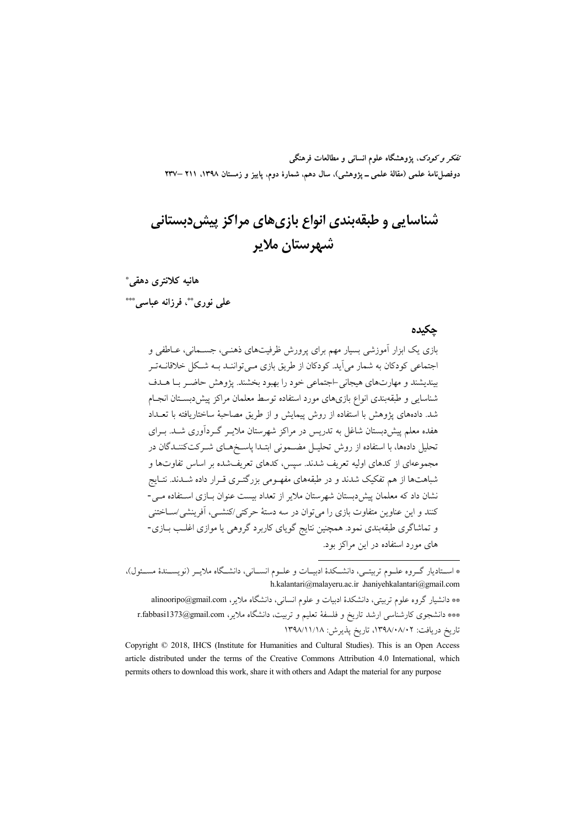تفکر و کودک، یژوهشگاه علوم انسانی و مطالعات فرهنگی دوفصلنامهٔ علمی (مقالهٔ علمی ــ پژوهشی)، سال دهم، شمارهٔ دوم، پاییز و زمستان ۱۳۹۸. ۲۱۱ –۲۳۷

# شناسایی و طبقهبندی انواع بازیهای مراکز پیش(دبستانی شهرستان ملاير

هانیه کلانتری دهقی\*

على نوريٌّ فرزانه عباسى \*\*\*

### چکیده

بازی یک ابزار آموزشی بسیار مهم برای پرورش ظرفیتهای ذهنـی، جســمانی، عــاطفی و اجتماعی کودکان به شمار می آید. کودکان از طریق بازی مبی تواننـد بــه شـکل خلاقانــه تــر بیندیشند و مهارتهای هیجانی -اجتماعی خود را بهبود بخشند. پژوهش حاضیر بیا هیدف شناسایی و طبقهبندی انواع بازیهای مورد استفاده توسط معلمان مراکز پیش(دبستان انجـام شد. دادههای پژوهش با استفاده از روش پیمایش و از طریق مصاحبهٔ ساختاریافته با تعــداد هفده معلم پیش دبستان شاغل به تدریس در مراکز شهرستان ملایـر گـردآوری شـد. بـرای تحلیل دادهها، با استفاده از روش تحلیـل مضــمونی ابتـدا پاسـخهـای شــرکتکننـدگان در مجموعهای از کدهای اولیه تعریف شدند. سپس، کدهای تعریفشده بر اساس تفاوتها و شباهتها از هم تفکیک شدند و در طبقههای مفهـومی بزرگتـری قـرار داده شــدند. نتــایج نشان داد که معلمان پیش دبستان شهرستان ملایر از تعداد بیست عنوان بــازی اســتفاده مــی-کنند و این عناوین متفاوت بازی را می توان در سه دستهٔ حرکتی/کنشــی، آفرینشی/ســاختنی و تماشاگری طبقهبندی نمود. همچنین نتایج گویای کاربرد گروهی یا موازی اغلـب بــازی-های مورد استفاده در آین مراکز بود.

\* اســتادیار گــروه علــوم تربیتــی، دانشــكدهٔ ادبیــات و علــوم انســانی، دانشــگاه ملایــر (نویســندهٔ مســئول)، h.kalantari@malayeru.ac.ir .haniyehkalantari@gmail.com

\*\* دانشیار گروه علوم تربیتی، دانشکدهٔ ادبیات و علوم انسانی، دانشگاه ملایر، alinooripo@gmail.com \*\*\* دانشجوی کارشناسی ارشد تاریخ و فلسفهٔ تعلیم و تربیت، دانشگاه ملایر، r.fabbasi1373@gmail.com تاريخ دريافت: ٠٨/٠٨/٠٨/٠٢، تاريخ يذيرش: ١٣٩٨/١١/١٨

Copyright © 2018, IHCS (Institute for Humanities and Cultural Studies). This is an Open Access article distributed under the terms of the Creative Commons Attribution 4.0 International, which permits others to download this work, share it with others and Adapt the material for any purpose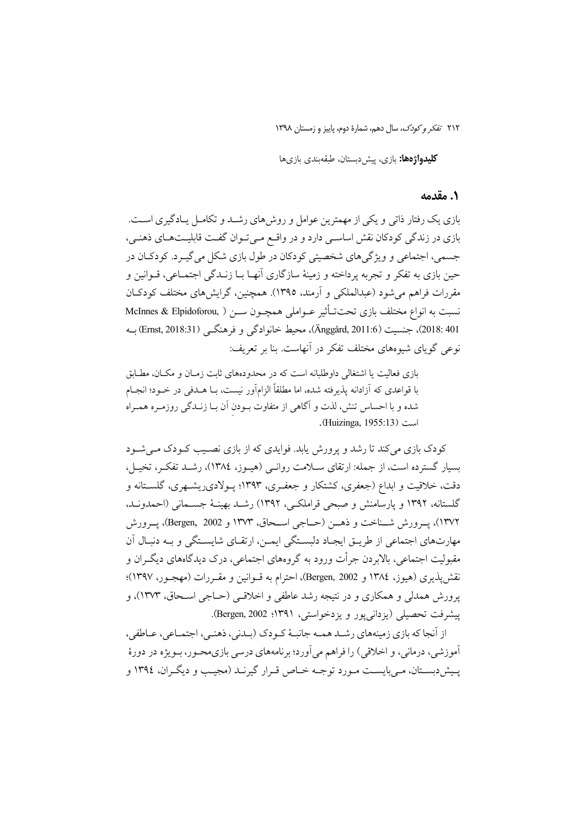٢١٢ تفكر وكودك، سال دهم، شمارة دوم، ياييز و زمستان ١٣٩٨

كليدواژهها: بازي، پيشدبستان، طبقهبندي بازيها

### ٠. مقدمه

بازی یک رفتار ذاتی و یکی از مهمترین عوامل و روش های رشــد و تکامــل پــادگیری اســت. بازی در زندگی کودکان نقش اساسی دارد و در واقع میتوان گفت قابلیتهای ذهنی، جسمي، اجتماعي و ويژگيهاي شخصيتي كودكان در طول بازي شكل مي گيـرد. كودكـان در حین بازی به تفکر و تجربه پرداخته و زمینهٔ سازگاری آنهـا بــا زنــدگی اجتمــاعی، قــوانین و مقررات فراهم می شود (عبدالملکی و آرمند، ۱۳۹۵). همچنین، گرایش های مختلف کودکـان نسبت به انواع مختلف بازی تحتتـأثیر عــواملی همچــون ســن ( McInnes & Elpidoforou, 401 :2018)، جنسيت (Anggård, 2011:6)، محيط خانوادگي و فرهنگــي (Ernst, 2018:31) بــه نوعی گویای شیوههای مختلف تفکر در آنهاست. بنا بر تعریف:

بازی فعالیت یا اشتغالی داوطلبانه است که در محدودههای ثابت زمـان و مکـان، مطـابق با قواعدی که آزادانه پذیرفته شده، اما مطلقاً الزامآور نیست، بــا هــدفی در خــود؛ انجــام شده و با احساس تنش، لذت و آگاهی از متفاوت بـودن آن بـا زنـدگی روزمـره همـراه .(Huizinga, 1955:13)

کودک بازی می کند تا رشد و پرورش پابد. فوایدی که از بازی نصـیب کـودک مـی شـود بسیار گسترده است، از جمله: ارتقای سـلامت روانـی (هیـوز، ١٣٨٤)، رشـد تفکـر، تخیـل، دقت، خلاقیت و ابداع (جعفری، کشتکار و جعفـری، ۱۳۹۳؛ پـولادیریشـهری، گلســتانه و گلستانه، ۱۳۹۲ و پارسامنش و صبحی قراملکـی، ۱۳۹۲) رشــد بهینــهٔ جســمانـی (احمدونــد، ۱۳۷۲)، يــرورش شــناخت و ذهـــز (حــاجي اســحاق، ۱۳۷۳ و Bergen, 2002)، يــرورش مهارتهای اجتماعی از طریـق ایجـاد دلبسـتگی ایمـن، ارتقـای شایسـتگی و بـه دنبـال آن مقبولیت اجتماعی، بالایردن جرأت ورود به گروههای اجتماعی، درک دیدگاههای دیگیران و نقش يذيري (هيوز، ١٣٨٤ و Bergen, 2002)، احترام به قــوانين و مقــررات (مهجــور، ١٣٩٧)؛ یرورش همدلی و همکاری و در نتیجه رشد عاطفی و اخلاقبی (حــاجی اســحاق، ۱۳۷۳)، و يبشرفت تحصيلي (بزداني يور و بزدخواستي، ١٣٩١؛ Bergen, 2002).

از اّنجا که بازی زمینههای رشـد همـه جانبـهٔ کـودک (بـدنی، ذهنـی، اجتمـاعی، عـاطفی، آموزشي، درماني، و اخلاقي) را فراهم مي آورد؛ بر نامههاي درسي بازي،محــور، بــويژه در دورهٔ پیش دبستان، می بایست مورد توجـه خـاص قـرار گیرنـد (مجیـب و دیگـران، ١٣٩٤ و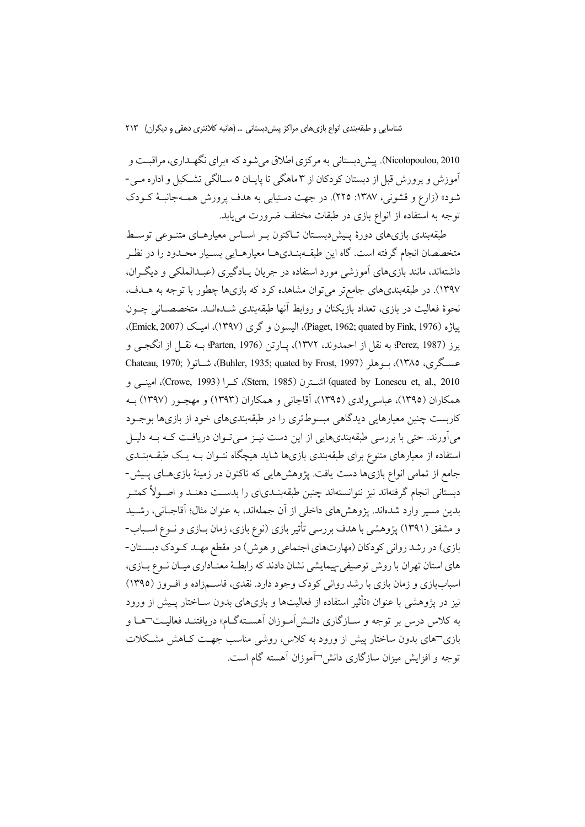Nicolopoulou, 2010). پیش دبستانی به مرکزی اطلاق می شود که «برای نگهـداری، مراقبـت و آموزش و پرورش قبل از دبستان کودکان از ۳ ماهگی تا پایان ۵ سـالگی تشـکیل و اداره مـی-شود» (زارع و قشونی، ۱۳۸۷: ۲۲۵). در جهت دستیابی به هدف پرورش همـهجانبـهٔ کـودک توجه به استفاده از انواع بازی در طبقات مختلف ضرورت میbیابد.

طبقهبندی بازیهای دورهٔ پیش دبستان تـاکنون بـر اسـاس معیارهـای متنـوعی توسـط متخصصان انجام گرفته است. گاه این طبقــهبنــديهــا معیارهــایی بســیار محــدود را در نظـر داشتهاند، مانند بازیهای آموزشی مورد استفاده در جریان پـادگیری (عبـدالملکی و دیگـران، ۱۳۹۷). در طبقهبندیهای جامع تر می توان مشاهده کرد که بازیها چطور با توجه به هــدف، نحوهٔ فعالیت در بازی، تعداد بازیکنان و روابط آنها طبقهبندی شــدهانــد. متخصصــانی چــون يياژه (Piaget, 1962; quated by Fink, 1976)، اليسون و گري (١٣٩٧)، اميک (Emick, 2007). يرز (Perez, 1987؛ به نقل از احمدوند، ١٣٧٢)، يـارتن (Parten, 1976؛ بــه نقــل از انگجــي و عسگری، ۱۳۸۵)، بـوهلر (1997 ,Buhler, 1935; quated by Frost, 1997)، شــاتو( ,Chateau, 1970 quated by Lonescu et, al., 2010) اشتترن (Stern, 1985)، كرا (Crowe, 1993)، امينسي و همکاران (۱۳۹۵)، عباسیولدی (۱۳۹۵)، آقاجانی و همکاران (۱۳۹۳) و مهجـور (۱۳۹۷) بـه کاربست چنین معیارهایی دیدگاهی مبسوطتری را در طبقهبندیهای خود از بازیها بوجـود می آورند. حتی با بررسی طبقهبندیهایی از این دست نیـز مـی تـوان دریافـت کـه بـه دلیـل استفاده از معیارهای متنوع برای طبقهبندی بازیها شاید هیچگاه نتـوان بــه یــک طبقــهبنــدی جامع از تمامی انواع بازیها دست یافت. پژوهشهایی که تاکنون در زمینهٔ بازیهـای پـیش-دبستانی انجام گرفتهاند نیز نتوانستهاند چنین طبقهبنـدی|ی را بدســت دهنـد و اصــولاً کمتــر بدین مسیر وارد شدهاند. پژوهشهای داخلی از آن جملهاند، به عنوان مثال؛ آقاجـانی، رشـید و مشفق (۱۳۹۱) پژوهشی با هدف بررسی تأثیر بازی (نوع بازی، زمان بـازی و نــوع اســباب-بازي) در رشد رواني كودكان (مهارتهاي اجتماعي و هوش) در مقطع مهـد كـودك دبسـتان-های استان تهران با روش توصیفی پیمایشی نشان دادند که رابطـهٔ معنـاداری میـان نـوع بـازی، اسباببازی و زمان بازی با رشد روانی کودک وجود دارد. نقدی، قاسمزاده و افروز (١٣٩٥) نیز در پژوهشی با عنوان «تأثیر استفاده از فعالیتها و بازیهای بدون ســاختار پــیش از ورود به کلاس درس بر توجه و سـازگاری دانـش|مـوزان اَهسـتهگـام» دریافتنـد فعالیـت¬هـا و بازی¬های بدون ساختار پیش از ورود به کلاس، روشی مناسب جهت کIهش مشکلات توجه و افزایش میزان سازگاری دانش ¬آموزان آهسته گام است.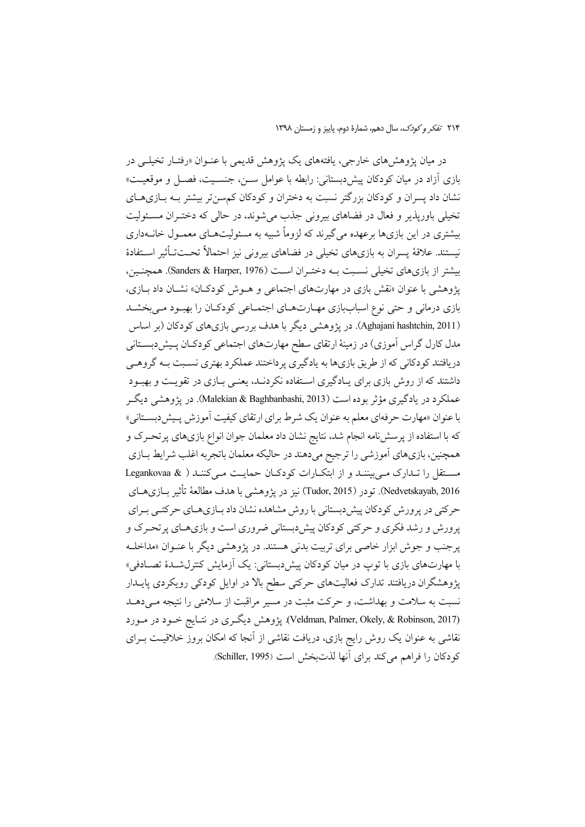در میان یژوهشهای خارجی، یافتههای یک یژوهش قدیمی با عنـوان «رفتـار تخیلــی در بازی آزاد در میان کودکان پیش دبستانی: رابطه با عوامل ســـن، جنســیت، فصــل و موقعیــت» نشان داد پسران و کودکان بزرگتر نسبت به دختران و کودکان کم سنتر بیشتر بـه بـازیهـای تخیلی باورپذیر و فعال در فضاهای بیرونی جذب میشوند، در حالی که دختـران مسـئولیت بیشتری در این بازیها برعهده می گیرند که لزوماً شبیه به مسئولیتهـای معمـول خانــهداری نیستند. علاقهٔ پسران به بازیهای تخیلی در فضاهای بیرونی نیز احتمالاً تحــتتأثیر اسـتفادهٔ بيشتر از بازي هاي تخيلي نسـبت بــه دختـران اســت (Sanders & Harper, 1976). همچنـين، یژوهشی با عنوان «نقش بازی در مهارتهای اجتماعی و هـوش کودکـان» نشـان داد بــازی، بازی درمانی و حتی نوع اسباببازی مهـارتهـای اجتمـاعی کودکـان را بهبـود مـیبخشـد (Aghajani hashtchin, 2011). در پژوهشی دیگر با هدف بررسی بازیهای کودکان (بر اساس مدل کارل گراس اَموزی) در زمینهٔ ارتقای سطح مهارتهای اجتماعی کودکـان پـیش(بسـتانی دریافتند کودکانی که از طریق بازیها به یادگیری پرداختند عملکرد بهتری نسـبت بــه گروهــی داشتند که از روش بازی برای پـادگیری اسـتفاده نکردنـد، یعنـی بـازی در تقویـت و بهبـود عملکرد در یادگیری مؤثر بوده است (Malekian & Baghbanbashi, 2013). در یژوهشی دیگ با عنوان «مهارت حرفهاي معلم به عنوان يک شرط براي ارتقاي کيفيت آموزش پـيشدبسـتاني» که با استفاده از پرسش نامه انجام شد، نتایج نشان داد معلمان جوان انواع بازیهای پرتحـرک و همچنین، بازیهای آموزشی را ترجیح میدهند در حالیکه معلمان باتجربه اغلب شرایط بـازی مستقل را تدارک می بینند و از ابتکارات کودکان حمایت می کنند ( Legankovaa & Nedvetskayab, 2016). تودر (Tudor, 2015) نيز در پژوهشي با هدف مطالعهٔ تأثير بــازيهــاي حرکتی در پرورش کودکان پیش دبستانی با روش مشاهده نشان داد بــازیهــای حرکتــی بــرای پرورش و رشد فکری و حرکتی کودکان پیشدبستانی ضروری است و بازیهای پرتحرک و یر جنب و جوش ابزار خاصی برای تربیت بدنی هستند. در پژوهشی دیگر با عنـوان «مداخلـه با مهارتهای بازی با توپ در میان کودکان پیش دبستانی: یک آزمایش کنترل شدهٔ تصـادفی» پژوهشگران دریافتند تدارک فعالیتهای حرکتی سطح بالا در اوایل کودکی رویکردی پایــدار نسبت به سلامت و بهداشت، و حرکت مثبت در مسیر مراقبت از سلامتی را نتیجه مـیدهـد (Veldman, Palmer, Okely, & Robinson, 2017). پژوهش دیگری در نتـایج خـود در مـورد نقاشی به عنوان یک روش رایج بازی، دریافت نقاشی از آنجا که امکان بروز خلاقیـت بــرای كودكان را فراهم مي كند براي آنها لذتبخش است (Schiller, 1995).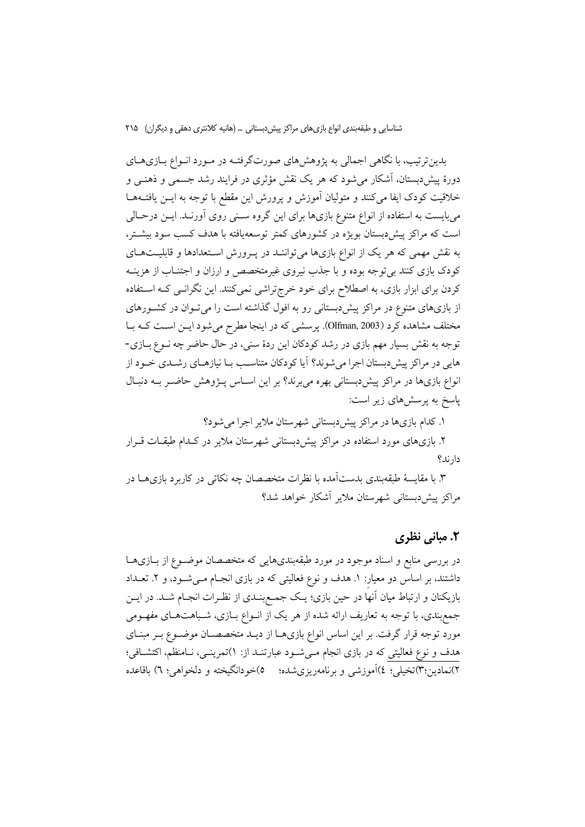بدین ترتیب، با نگاهی اجمالی به پژوهش های صورتگرفتـه در مـورد انـواع بــازی هــای دورهٔ پیش،دبستان، اَشکار می شود که هر یک نقش مؤثری در فرایند رشد جسمی و ذهنــی و خلاقیت کودک ایفا میکنند و متولیان آموزش و پرورش این مقطع با توجه به ایــن یافتــههــا میبایست به استفاده از انواع متنوع بازیها برای این گروه سـنی روی آورنـد. ایــن درحـالی است که مراکز پیش دبستان بویژه در کشورهای کمتر توسعهیافته با هدف کسب سود بیشتر، به نقش مهمی که هر یک از انواع بازیها می تواننـد در پـرورش اسـتعدادها و قابلیـتهـای کودک بازی کنند بیتوجه بوده و با جذب نیروی غیرمتخصص و ارزان و اجتنـاب از هزینــه کردن برای ابزار بازی، به اصطلاح برای خود خرج تراشی نمی کنند. این نگرانـی کـه اسـتفاده از بازیهای متنوع در مراکز پیش دبستانی رو به افول گذاشته است را میتوان در کشورهای مختلف مشاهده کرد (Olfman, 2003). پرسشی که در اینجا مطرح میشود ایـن اسـت کـه بـا توجه به نقش بسیار مهم بازی در رشد کودکان این ردهٔ سنی، در حال حاضر چه نـوع بــازی-هایی در مراکز پیش دبستان اجرا می شوند؟ آیا کودکان متناسب بـا نیازهـای رشــدی خــود از انواع بازیها در مراکز پیش،بستانی بهره میبرند؟ بر این اسـاس پــژوهش حاضــر بــه دنبـال پاسخ به پرسشهای زیر است:

۱. کدام بازیها در مراکز پیش دبستانی شهرستان ملایر اجرا می شود؟

۲. بازیهای مورد استفاده در مراکز پیشدبستانی شهرستان ملایر در کـدام طبقـات قـرار دار ند؟

۳. با مقایسهٔ طبقهبندی بدستآمده با نظرات متخصصان چه نکاتی در کاربرد بازیهمـا در مراکز پیش دبستانی شهرستان ملایر آشکار خواهد شد؟

### ۲. مبانی نظری

در بررسی منابع و اسناد موجود در مورد طبقهبندیهایی که متخصصان موضـوع از بـازیهـا داشتند، بر اساس دو معیار: ١. هدف و نوع فعالیتی که در بازی انجـام مـیشـود، و ٢. تعـداد بازیکنان و ارتباط میان آنها در حین بازی؛ یک جمع بنـدی از نظـرات انجـام شـد. در ایــن جمع بندی، با توجه به تعاریف ارائه شده از هر یک از انـواع بـازی، شـباهتهـای مفهـومی مورد توجه قرار گرفت. بر این اساس انواع بازیهـا از دیــد متخصصــان موضــوع بــر مبنــای هدف و نوع فعالیتی که در بازی انجام میشود عبارتنـد از: ۱)تمرینـی، نـامنظم، اکتشـافی؛ ۲)نمادین:۳)تخیلی؛ ٤)آموزشی و برنامهریزیشده؛ 0)خودانگیخته و دلخواهی؛ ٦) باقاعده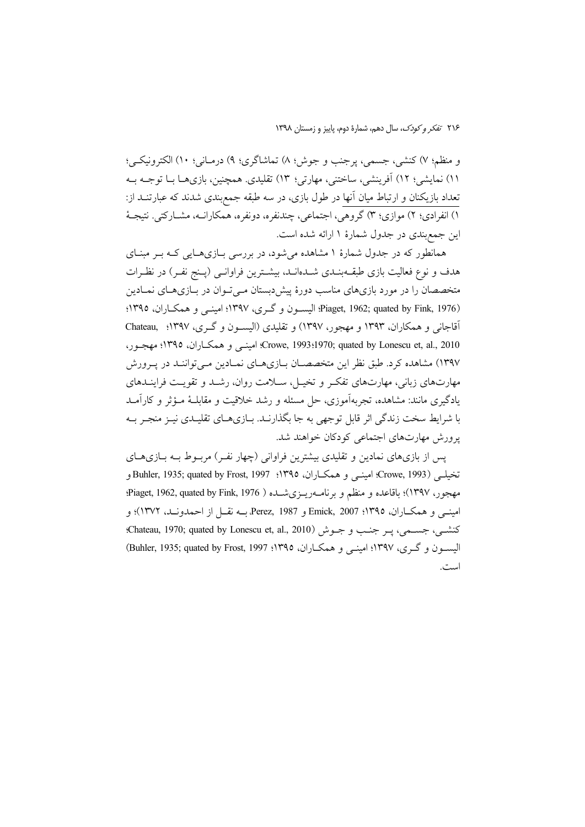و منظم؛ ٧) كنشي، جسمي، يرجنب و جوش؛ ٨) تماشاگري؛ ٩) درمـاني؛ ١٠) الكترونيكـي؛ ١١) نمايشي؛ ١٢) أفرينشي، ساختني، مهارتي؛ ١٣) تقليدي. همچنين، بازيهمـا بــا توجــه بــه تعداد بازیکنان و ارتباط میان آنها در طول بازی، در سه طبقه جمع بندی شدند که عبارتنـد از: ۱) انفرادی؛ ۲) موازی؛ ۳) گروهی، اجتماعی، چندنفره، دونفره، همکارانــه، مشــارکتی. نتیجــهٔ این جمعبندی در جدول شمارهٔ ۱ ارائه شده است.

همانطور که در جدول شمارهٔ ۱ مشاهده میشود، در بررسی بـازیهـایی کـه بـر مبنـای هدف و نوع فعالیت بازی طبقــهبنــدی شــدهانــد، بیشــترین فراوانــی (پــنج نفـر) در نظـرات متخصصان را در مورد بازیهای مناسب دورهٔ پیش دبستان مـی تـوان در بـازیهـای نمـادین Piaget, 1962; quated by Fink, 1976)؛ اليسون وكرى، ١٣٩٧؛ اميني و همكـاران، ١٣٩٥؛ آقاجانی و همکاران، ۱۳۹۳ و مهجور، ۱۳۹۷) و تقلیدی (الیسون و گری، ۱۳۹۷؛ Chateau, ۱۳۹۷ Crowe, 1993:1970; quated by Lonescu et, al., 2010؛ Crowe, 1993:1970؛ مهجور، ۱۳۹۷) مشاهده کرد. طبق نظر این متخصصـان بـازیهـای نمـادین مـیتواننـد در پـرورش مهارتهای زبانی، مهارتهای تفکر و تخیـل، سـلامت روان، رشـد و تقویـت فراینـدهای یادگیری مانند: مشاهده، تجربهآموزی، حل مسئله و رشد خلاقیت و مقابلـهٔ مــؤثر و کارآمــد با شرایط سخت زندگی اثر قابل توجهی به جا بگذارنـد. بـازیهـای تقلیـدی نیـز منجـر بـه یرورش مهارتهای اجتماعی کودکان خواهند شد.

پس از بازیهای نمادین و تقلیدی بیشترین فراوانی (چهار نفـر) مربـوط بـه بـازیهـای تخيلبي (Crowe, 1993؛ امينبي و همكـاران، ١٣٩٥؛ Buhler, 1935; quated by Frost, 1997؛ Buhler, 1935 مهجور، ۱۳۹۷)؛ باقاعده و منظم و برنامــهريــزيشــده ( Piaget, 1962, quated by Fink, 1976؛ امینے و همکــاران، ١٣٩٥؛ Emick, 2007 و Perez, 1987 بــه نقــل از احمدونــد، ١٣٧٢)؛ و كنشـي، جســمي، پــر جنــب و جــوش (Chateau, 1970; quated by Lonescu et, al., 2010): الیسون و گری، ۱۳۹۷؛ امینے و همکـاران، ۱۳۹۵؛ Buhler, 1935; quated by Frost, 1997) است.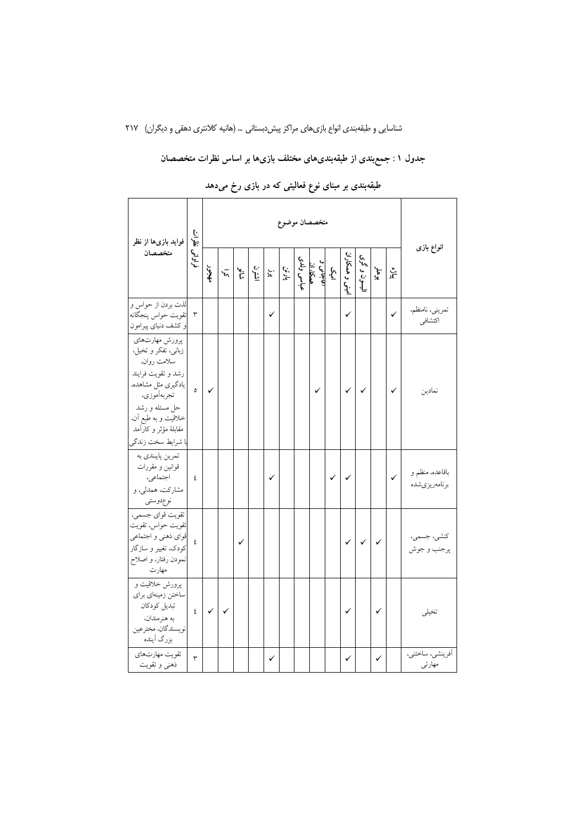# جدول ۱: جمع بندی از طبقه بندیهای مختلف بازیها بر اساس نظرات متخصصان

| فواید بازیها از نظر                                                                                                                                                                                      | لقران<br>(-<br>فواواني |              | متخصصان موضوع |     |      |           |       |            |                              |   |                |              |              |              |                                  |  |
|----------------------------------------------------------------------------------------------------------------------------------------------------------------------------------------------------------|------------------------|--------------|---------------|-----|------|-----------|-------|------------|------------------------------|---|----------------|--------------|--------------|--------------|----------------------------------|--|
| متخصصان                                                                                                                                                                                                  |                        | جنجه         | $\bar{h}$     | ره. | اشى: | بر.<br>پو | پارٽن | عباسى ولدى | امیک<br>میکا، ان<br>هیکا، ان |   | ميني و همكاران | ليسون و گری  | بوهلر        | ۽مي<br>آ     | انواع بازى                       |  |
| لذت بردن از حواس و<br>تقويت حواس پنجگانه<br>و کشف دنیای پیرامون                                                                                                                                          | ٣                      |              |               |     |      | ✓         |       |            |                              |   | ✓              |              |              | $\checkmark$ | تمريني، نامنظم،<br>اكتشافي       |  |
| پرورش مهارتهاي<br>زبانی، تفکر و تخیل.<br>سلامت روان،<br>رشد و تقويت فرايند<br>یادگیری مثل مشاهده،<br>تجربهأموزي،<br>حل مسئله و رشد<br>خلاقيت و به طبع آن،<br>مقابلهٔ مؤثر و کارآمد<br>با شرايط سخت زندگر | $\circ$                | ✓            |               |     |      |           |       |            | ✓                            |   | $\checkmark$   | $\checkmark$ |              | $\checkmark$ | نمادين                           |  |
| تمرين پايبندي به<br>قوانین و مقررات<br>اجتماعی،<br>مشارکت، همدلی، و<br>نوعدوستي                                                                                                                          | ٤                      |              |               |     |      |           |       |            |                              | ✓ | ✓              |              |              | $\checkmark$ | باقاعده، منظم و<br>برنامەريزىشدە |  |
| تقويت قواي جسمي،<br>تقويت حواس، تقويت<br>قواي ذهني و اجتماعي<br>کودک، تغییر و سازگار<br>نمودن رفتار، و اصلاح<br>مهارت                                                                                    | ٤                      |              |               | ✓   |      |           |       |            |                              |   | ✓              | $\checkmark$ | $\checkmark$ |              | كنشى، جسمى،<br>پرجنب و جوش       |  |
| پرورش خلاقیت و<br>ساختن زمینهای برای<br>تبديل كودكان<br>به هنرمندان،<br>نويسندگان، مخترعين<br>بزرگ أينده                                                                                                 | $\mathfrak{c}$         | $\checkmark$ | $\checkmark$  |     |      |           |       |            |                              |   | ✓              |              | ✓            |              | تخيلي                            |  |
| تقويت مهارتهاى<br>ذهني و تقويت                                                                                                                                                                           | ٣                      |              |               |     |      | ✓         |       |            |                              |   | $\checkmark$   |              | ✓            |              | أفرينشي، ساختني،<br>مهارتى       |  |

طبقهبندی بر مبنای نوع فعالیتی که در بازی رخ میدهد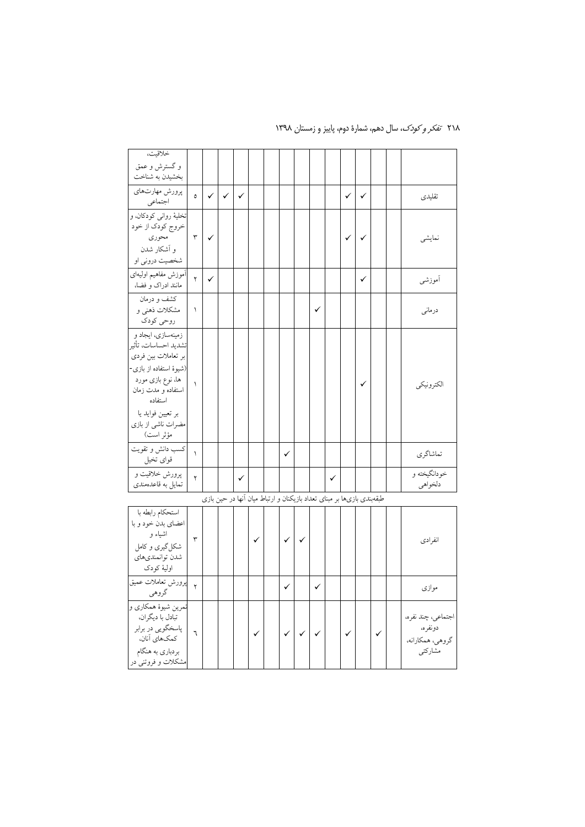| خلاقيت،                                                                                                                                                                                                    |              |              |              |              |              |                                                                                                                                                                                                                                  |              |              |   |   |              |   |  |                                                              |
|------------------------------------------------------------------------------------------------------------------------------------------------------------------------------------------------------------|--------------|--------------|--------------|--------------|--------------|----------------------------------------------------------------------------------------------------------------------------------------------------------------------------------------------------------------------------------|--------------|--------------|---|---|--------------|---|--|--------------------------------------------------------------|
| و گسترش و عمق<br>بخشيدن به شناخت                                                                                                                                                                           |              |              |              |              |              |                                                                                                                                                                                                                                  |              |              |   |   |              |   |  |                                                              |
| پرورش مهارتهاي<br>اجتماعي                                                                                                                                                                                  | $\circ$      | $\checkmark$ | $\checkmark$ | $\checkmark$ |              |                                                                                                                                                                                                                                  |              |              |   |   | $\checkmark$ | ✓ |  | تقليدى                                                       |
| تخليۀ رواني كودكان، و<br>خروج كودك از خود<br>محوري<br>و اَشکار شدن<br>شخصیت درونی او                                                                                                                       | $\mathbf{r}$ | ✓            |              |              |              |                                                                                                                                                                                                                                  |              |              |   |   | ✓            | ✓ |  | نمايشى                                                       |
| أموزش مفاهيم اوليهاي<br>مانند ادراک و فضا،                                                                                                                                                                 | ۲            | ✓            |              |              |              |                                                                                                                                                                                                                                  |              |              |   |   |              | ✓ |  | أموزشي                                                       |
| کشف و درمان<br>مشکلات ذهنی و<br>روحي كودك                                                                                                                                                                  | ١            |              |              |              |              |                                                                                                                                                                                                                                  |              |              | ✓ |   |              |   |  | درماني                                                       |
| زمینهسازی، ایجاد و<br>تشديد احساسات، تأثير<br>بر تعاملات بین فردی<br>(شیوهٔ استفاده از بازی-<br>ها، نوع بازی مورد<br>استفاده و مدت زمان<br>استفاده<br>بر تعيين فوايد يا<br>مضرات ناشی از بازی<br>مؤثر است) | $\lambda$    |              |              |              |              |                                                                                                                                                                                                                                  |              |              |   |   |              | ✓ |  | الكترونيكي                                                   |
| كسب دانش وتقويت<br>قواي تخيل                                                                                                                                                                               | $\lambda$    |              |              |              |              |                                                                                                                                                                                                                                  | ✓            |              |   |   |              |   |  | تماشاگري                                                     |
| پرورش خلاقیت و<br>تمایل به قاعدهمندی                                                                                                                                                                       | ۲            |              |              | ✓            |              |                                                                                                                                                                                                                                  |              |              |   | ✓ |              |   |  | خودانگيخته و<br>دلخواهي                                      |
|                                                                                                                                                                                                            |              |              |              |              |              | طبقهبندی بازیها بر مبنای تعداد بازیکنان و ارتباط میان آنها در حین بازی                                                                                                                                                           |              |              |   |   |              |   |  |                                                              |
| استحكام رابطه با<br>اعضای بدن خود و با<br>اشیاء و<br>شکل گیری و کامل<br>شدن توانمنديهاي<br>اوليهٔ کودک                                                                                                     | ٣            |              |              |              | $\checkmark$ |                                                                                                                                                                                                                                  | ✓            | $\checkmark$ |   |   |              |   |  | انفرادي                                                      |
| م    پرورش تعاملات عمیق<br>گروهي                                                                                                                                                                           |              |              |              |              |              |                                                                                                                                                                                                                                  | $\checkmark$ |              | ✓ |   |              |   |  | موازى                                                        |
| تمرين شيوهٔ همکاري و<br>تبادل با دیگران،<br>پاسخگويي در برابر<br>كمكهاى آنان،<br>بردباري به هنگام<br>مشکلات و فروتنی در                                                                                    | ٦            |              |              |              |              | $\left  \begin{matrix} \cdot \\ \cdot \\ \cdot \end{matrix} \right $ $\left  \begin{matrix} \cdot \\ \cdot \\ \cdot \\ \cdot \end{matrix} \right $ $\left  \begin{matrix} \cdot \\ \cdot \\ \cdot \\ \cdot \end{matrix} \right $ |              |              |   |   |              |   |  | اجتماعي، چند نفره،<br>دونفره،<br>گروهي، همكارانه،<br>مشاركتي |

۲۱۸ تف*کر و کودک*، سال دهم، شمارهٔ دوم، پاییز و زمستان ۱۳۹۸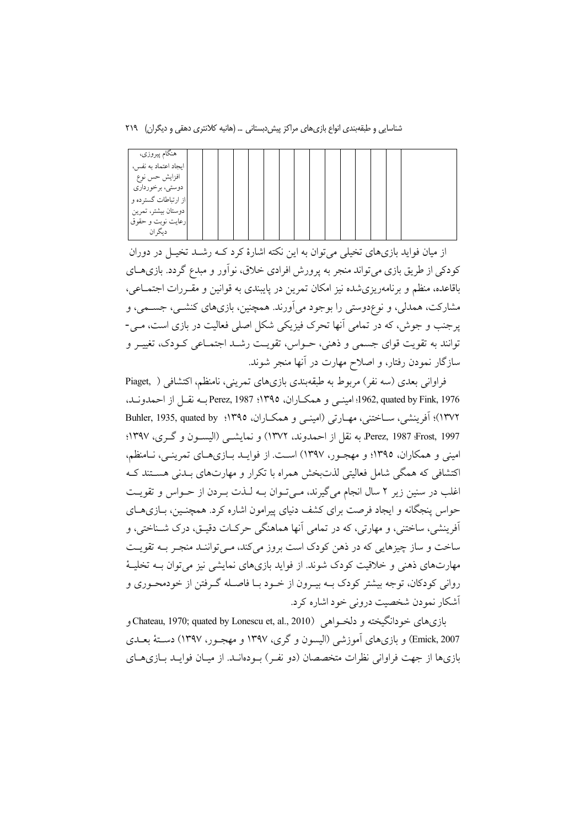شناسایی و طبقهبندی انواع بازیهای مراکز پیش دبستانی … (هانیه کلانتری دهقی و دیگران) ۲۱۹

| هنگام پيروزي،        |  |  |  |  |  |  |  |  |
|----------------------|--|--|--|--|--|--|--|--|
| ايجاد اعتماد به نفس، |  |  |  |  |  |  |  |  |
| افزايش حس نوع        |  |  |  |  |  |  |  |  |
| دوستي، برخورداري     |  |  |  |  |  |  |  |  |
| از ارتباطات گسترده و |  |  |  |  |  |  |  |  |
| دوستان بيشتر، تمرين  |  |  |  |  |  |  |  |  |
| رعایت نوبت و حقوق ً  |  |  |  |  |  |  |  |  |
| ديگران               |  |  |  |  |  |  |  |  |

از میان فواید بازیهای تخیلی می توان به این نکته اشارهٔ کرد کــه رشــد تخیــل در دوران کودکی از طریق بازی میتواند منجر به پرورش افرادی خلاق، نوآور و مبدع گردد. بازیهـای باقاعده، منظم و برنامهریزی شده نیز امکان تمرین در پایبندی به قوانین و مقـررات اجتمــاعی، مشارکت، همدلی، و نوعِدوستی را بوجود می آورند. همچنین، بازیهای کنشــی، جســمی، و پرجنب و جوش، که در تمامی آنها تحرک فیزیکی شکل اصلی فعالیت در بازی است، مـی-توانند به تقویت قوای جسمی و ذهنی، حـواس، تقویـت رشـد اجتمـاعی کـودک، تغییـر و سازگار نمودن رفتار، و اصلاح مهارت در آنها منجر شوند.

فراوانی بعدی (سه نفر ) مربوط به طبقهبندی بازیهای تمرینی، نامنظم، اکتشافی ( ,Piaget 1976 ,1976؛ 1962؛ امينــي و همكــاران، ١٣٩٥؛ Perez, 1987 بــه نقــل از احمدونــد، ١٣٧٢)؛ آفرینشی، ســاختنی، مهــارتی (امینــی و همکــاران، ١٣٩٥؛ Buhler, 1935, quated by Perez, 1987 Frost, 1997، به نقل از احمدوند، ١٣٧٢) و نمايشبي (اليسون و گري، ١٣٩٧؛ امینی و همکاران، ۱۳۹۵؛ و مهجـور، ۱۳۹۷) اسـت. از فوایـد بـازیهـای تمرینـی، نـامنظم، اکتشافی که همگی شامل فعالیتی لذتبخش همراه با تکرار و مهارتهای بـدنی هسـتند کـه اغلب در سنین زیر ۲ سال انجام می گیرند، می تـوان بــه لــذت بــردن از حــواس و تقویــت حواس پنجگانه و ایجاد فرصت برای کشف دنیای پیرامون اشاره کرد. همچنـین، بـازیهـای آفرينشي، ساختني، و مهارتي، كه در تمامي آنها هماهنگي حركـات دقيـق، درك شــناختي، و ساخت و ساز چیزهایی که در ذهن کودک است بروز میکند، مـی توانسـد منجـر بــه تقویــت مهارتهای ذهنی و خلاقیت کودک شوند. از فواید بازیهای نمایشی نیز می توان بــه تخلیــهٔ روانی کودکان، توجه بیشتر کودک بــه بیــرون از خــود بــا فاصــله گــرفتن از خودمحــوری و آشکار نمودن شخصیت درونی خود اشاره کرد.

بازي هاي خودانگيخته و دلخــواهي (Chateau, 1970; quated by Lonescu et, al., 2010) و Emick, 2007) و بازي هاي آموزشي (البسون و گري، ۱۳۹۷ و مهجـور، ۱۳۹۷) دسـتۀ بعــدي بازیها از جهت فراوانی نظرات متخصصان (دو نفس) سودهانید. از میبان فوایید پیازیههای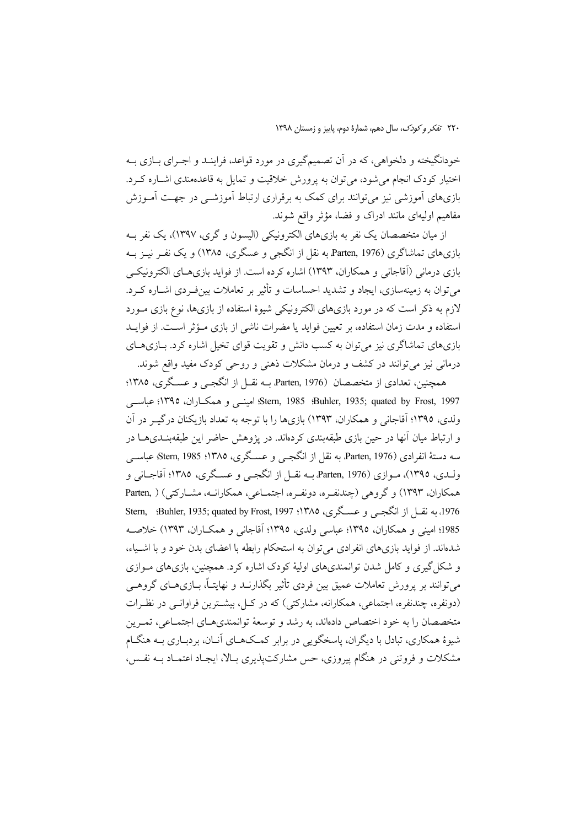خودانگیخته و دلخواهی، که در آن تصمیمگیری در مورد قواعد، فراینـد و اجـرای بـازی بـه اختیار کودک انجام می شود، می توان به پرورش خلاقیت و تمایل به قاعدهمندی اشباره کرد. بازیهای آموزشی نیز میتوانند برای کمک به برقراری ارتباط آموزشــی در جهـت آمــوزش مفاهیم اولیهای مانند ادراک و فضا، مؤثر واقع شوند.

از میان متخصصان یک نفر به بازیهای الکترونیکی (الیسون و گری، ۱۳۹۷)، یک نفر بـه بازیهای تماشاگری (Parten, 1976 به نقل از انگجی و عسگری، ۱۳۸۵) و یک نفـر نیـز بـه بازی درمانی (آقاجانی و همکاران، ۱۳۹۳) اشاره کرده است. از فواید بازیهـای الکترونیکـی می توان به زمینهسازی، ایجاد و تشدید احساسات و تأثیر بر تعاملات بینفردی اشـاره کـرد. لازم به ذکر است که در مورد بازیهای الکترونیکی شیوهٔ استفاده از بازیها، نوع بازی مـورد استفاده و مدت زمان استفاده، بر تعیین فواید یا مضرات ناشی از بازی مـؤثر اسـت. از فوایـد بازیهای تماشاگری نیز می توان به کسب دانش و تقویت قوای تخیل اشاره کرد. بـازیهـای درمانی نیز میتوانند در کشف و درمان مشکلات ذهنی و روحی کودک مفید واقع شوند.

همچنین، تعدادی از متخصصان Parten, 1976 بــه نقــل از انگجــی و عســگری، ۱۳۸۵؛ Stern, 1985 :Buhler, 1935; quated by Frost, 1997؛ امینے و همکاران، ١٣٩٥؛ عباسے ولدي، ١٣٩٥؛ آقاجاني و همكاران، ١٣٩٣) بازيها را با توجه به تعداد بازيكنان درگيـر در آن و ارتباط میان آنها در حین بازی طبقهبندی کردهاند. در پژوهش حاضر این طبقهبنـدیهــا در سه دستهٔ انفرادي Parten, 1976 به نقل از انگجے و عسـگری، ۱۳۸۵؛ Stern, 1985، عباســي ولـدي، ١٣٩٥)، مـوازي (Parten, 1976 بـه نقــل از انگجــي و عســگري، ١٣٨٥؛ آقاجــاني و همکاران، ۱۳۹۳) و گروهی (چندنفره، دونفره، اجتمـاعی، همکارانـه، مشـارکتی) ( Parten, 1976، به نقبل از انگجبی و عسگری، ۱۳۸۵؛ Stern, :Buhler, 1935; quated by Frost, 1997 1985؛ امینی و همکاران. ۱۳۹۵؛ عباسی ولدی، ۱۳۹۵؛ آقاجانی و همکــاران. ۱۳۹۳) خلاصــه شدهاند. از فواید بازیهای انفرادی می توان به استحکام رابطه با اعضای بدن خود و با اشـیاء، و شکل گیری و کامل شدن توانمندیهای اولیهٔ کودک اشاره کرد. همچنین، بازیهای مـوازی می توانند بر پرورش تعاملات عمیق بین فردی تأثیر بگذارنــد و نهایتــاً، بــازی۵ــای گروهــی (دونفره، چندنفره، اجتماعی، همکارانه، مشارکتی) که در کیل، بیشترین فراوانبی در نظیرات متخصصان را به خود اختصاص دادهاند، به رشد و توسعهٔ توانمندیهـای اجتمـاعی، تمـرین شیوهٔ همکاری، تبادل با دیگران، پاسخگویی در برابر کمـکـهـای آنــان، بردبــاری بــه هنگــام مشکلات و فروتنی در هنگام پیروزی، حس مشارکتیذیری بـالا، ایجـاد اعتمــاد بــه نفــس،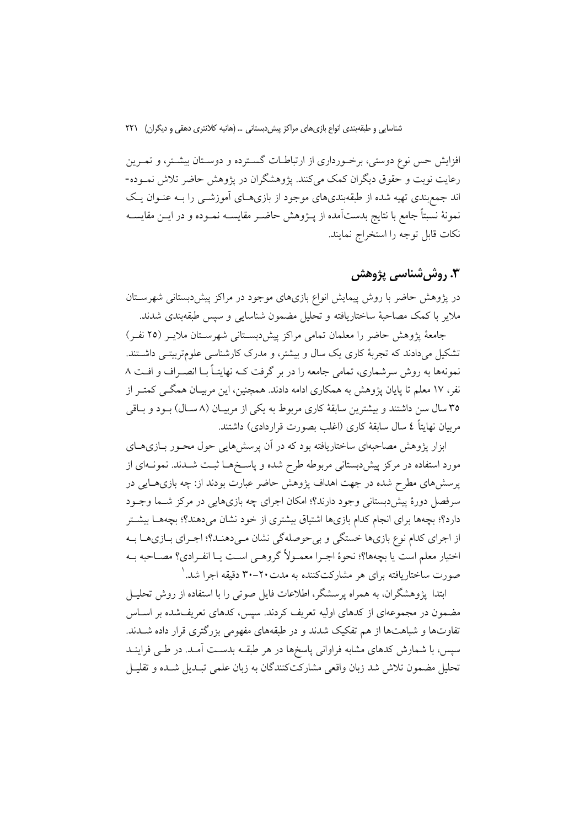افزایش حس نوع دوستی، برخورداری از ارتباطـات گسـترده و دوسـتان بیشـتر، و تمـرین رعایت نوبت و حقوق دیگران کمک میکنند. یژوهشگران در یژوهش حاضر تلاش نمـوده-اند جمع بندی تهیه شده از طبقهبندیهای موجود از بازیهـای آموزشــی را بــه عنــوان یـک نمونهٔ نسبتاً جامع با نتایج بدستآمده از پـژوهش حاضـر مقایســه نمـوده و در ایــن مقایســه نكات قابل توجه را استخراج نمايند.

# 3. روش شناسي پژوهش

در یژوهش حاضر با روش پیمایش انواع بازیهای موجود در مراکز پیش دبستانی شهرســتان ملاير با كمك مصاحبهٔ ساختاريافته و تحليل مضمون شناسايي و سيس طبقهبندي شدند.

جامعهٔ پژوهش حاضر را معلمان تمامی مراکز پیشدبستانی شهرستان ملایـر (٢٥ نفـر) تشکیل میدادند که تجربهٔ کاری یک سال و بیشتر، و مدرک کارشناسی علومتربیتـی داشـتند. نمونهها به روش سرشماری، تمامی جامعه را در بر گرفت کـه نهایتـاً بـا انصـراف و افـت ۸ نفر، ۱۷ معلم تا پایان یژوهش به همکاری ادامه دادند. همچنین، این مربیــان همگــی کمتــر از ۳۵ سال سن داشتند و بیشترین سابقهٔ کاری مربوط به یکی از مربیـان (۸ سـال) بـود و بـاقی مربيان نهايتاً ٤ سال سابقهٔ كارى (اغلب بصورت قراردادي) داشتند.

ابزار پژوهش مصاحبهای ساختاریافته بود که در آن پرسشهایی حول محـور بــازیهــای مورد استفاده در مرکز پیشدبستانی مربوطه طرح شده و پاسـخهـا ثبـت شــدند. نمونــهای از پرسشهای مطرح شده در جهت اهداف پژوهش حاضر عبارت بودند از: چه بازیهـایی در سرفصل دورهٔ پیش دبستانی وجود دارند؟؛ امکان اجرای چه بازیهایی در مرکز شـما وجـود دارد؟؛ بچهها برای انجام کدام بازیها اشتیاق بیشتری از خود نشان میدهند؟؛ بچههـا بیشـتر از اجرای کدام نوع بازیها خستگی و بیحوصلهگی نشان میدهنـد؟؛ اجـرای بـازیهـا بـه اختيار معلم است يا بچهها؟؛ نحوهٔ اجـرا معمـولاً گروهـي اسـت يـا انفـرادي؟ مصـاحبه بـه صورت ساختاریافته برای هر مشارکتکننده به مدت۲۰–۳۰ دقیقه اجرا شد. ٔ

ابتدا پژوهشگران، به همراه پرسشگر، اطلاعات فایل صوتی را با استفاده از روش تحلیـل مضمون در مجموعهای از کدهای اولیه تعریف کردند. سیس، کدهای تعریفشده بر اسـاس تفاوتها و شباهتها از هم تفکیک شدند و در طبقههای مفهومی بزرگتری قرار داده شــدند. سپس، با شمارش کدهای مشابه فراوانی پاسخها در هر طبقــه بدســت آمــد. در طــی فراینــد تحلیل مضمون تلاش شد زبان واقعی مشارکتکنندگان به زبان علمی تبـدیل شـده و تقلیـل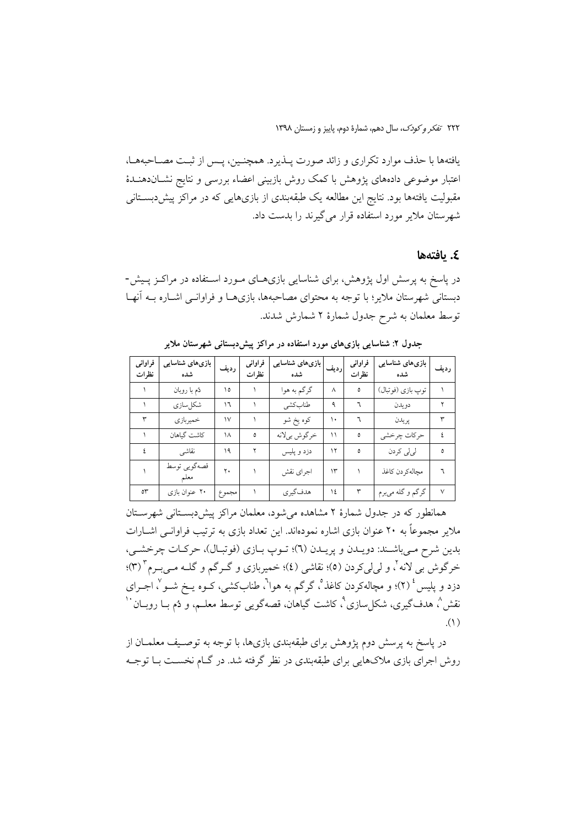٢٢٢ تفكر وكودك، سال دهم، شمارة دوم، ياييز و زمستان ١٣٩٨

يافتهها با حذف موارد تكراري و زائد صورت يـذيرد. همچنـين، يـس از ثبـت مصـاحبههـا، اعتبار موضوعی دادههای پژوهش با کمک روش بازبینی اعضاء بررسی و نتایج نشـاندهنــدهٔ مقبولیت یافتهها بود. نتایج این مطالعه یک طبقهبندی از بازیهایی که در مراکز پیش دبستانی شهرستان ملایر مورد استفاده قرار می گیرند را بدست داد.

### ٤. يافتەھا

در پاسخ به پرسش اول پژوهش، برای شناسایی بازیهـای مـورد اسـتفاده در مراکــز پــیش-دبستانی شهرستان ملایر؛ با توجه به محتوای مصاحبهها، بازیهـا و فراوانـبی اشـاره بــه آنهـا توسط معلمان به شرح جدول شمارهٔ ۲ شمارش شدند.

| فراوانى<br>نظرات | بازیهای شناسایی<br>شده | رديف   | فراوانى<br>نظرات | بازیهای شناسایی<br>شده | رديف | فراواني<br>نظرات | بازیهای شناسایی<br>شده | ر ديف  |
|------------------|------------------------|--------|------------------|------------------------|------|------------------|------------------------|--------|
|                  | دُم با روبان           | ١٥     |                  | گرگم به هوا            | ٨    | ٥                | توپ بازي (فوتبال)      |        |
|                  | شكلسازي                | ١٦     |                  | طنابكشي                | ٩    | ٦                | دويدن                  |        |
|                  | خميربازي               | $\vee$ |                  | کوه یخ شو              | ۱۰   |                  | ير يدن                 | ٣      |
|                  | كاشت گياهان            | ۱۸     | ٥                | خرگوش بيلانه           | ۱۱   | ٥                | حركات چرخشى            |        |
|                  | نقاشى                  | ۱۹     |                  | دزد و پلیس             | ۱۲   | ٥                | لى لى كردن             | ٥      |
|                  | قصەگويى توسط<br>معلم   | ۲.     |                  | اجراي نقش              | ۱۳   |                  | مچالەكردن كاغذ         |        |
| ٥٣               | ۲۰ عنوان بازی          | مجموع  |                  | هدف گیر ی              | ١٤   | ٣                | گرگم و گله ميبرم       | $\vee$ |

جدول ۲: شناسایی بازیهای مورد استفاده در مراکز پیش دبستانی شهرستان ملایر

همانطور که در جدول شمارهٔ ۲ مشاهده می شود، معلمان مراکز پیش دبستانی شهرستان ملایر مجموعاً به ۲۰ عنوان بازی اشاره نمودهاند. این تعداد بازی به ترتیب فراوانــی اشــارات بدين شرح مي باشـند: دويـدن و پريـدن (٦)؛ تـوپ بـازي (فوتبـال)، حركـات چرخشـي، خرگوش بی لانه <sup>۲</sup>، و ل<sub>ما</sub>لیکردن (٥)؛ نقاشی (٤)؛ خمیربازی و گـرگم و گلــه مــی.بـرم " (٣)؛ دزد و پلیس ٔ (۲)؛ و مچالهکردن کاغذ°، گرگم به هوا<sup>٦</sup>، طنابکشی، کــوه یــخ شــو ْ، اجــرای نقش^، هدفگیری، شکلسازی^، کاشت گیاهان، قصهگویی توسط معلــم، و دُم بــا روبــان ``  $\Lambda$ )

در پاسخ به پرسش دوم پژوهش برای طبقهبندی بازیها، با توجه به توصـیف معلمــان از روش اجرای بازی ملاکهایی برای طبقهبندی در نظر گرفته شد. در گـام نخسـت بـا توجـه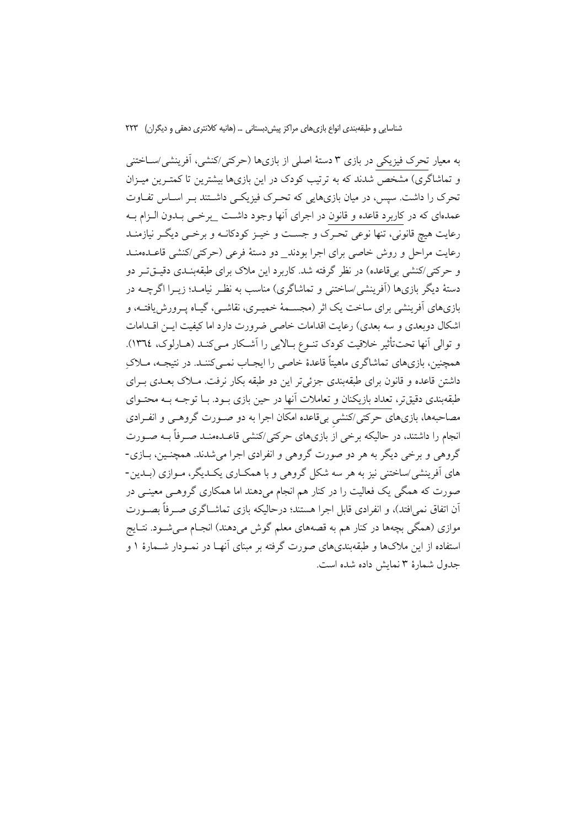به معیار تحرک فیزیکی در بازی ۳ دستهٔ اصلی از بازیها (حرکتی/کنشی، آفرینشی/ســاختنی و تماشاگری) مشخص شدند که به ترتیب کودک در این بازیها بیشترین تا کمتـرین میـزان تحرک را داشت. سپس، در میان بازیهایی که تحـرک فیزیکـی داشـتند بـر اسـاس تفـاوت عمدمای که در کاربرد قاعده و قانون در اجرای آنها وجود داشت برخی بـدون الـزام بـه رعايت هيچ قانوني، تنها نوعي تحـرک و جســت و خيـز کودکانــه و برخــي ديگــر نيازمنــد رعایت مراحل و روش خاصی برای اجرا بودند\_ دو دستهٔ فرعی (حرکتی/کنشی قاعـدهمنـد و حرکتی/کنشی بیقاعده) در نظر گرفته شد. کاربرد این ملاک برای طبقهبنـدی دقیــقتــر دو دستهٔ دیگر بازیها (اَفرینشی/ساختنی و تماشاگری) مناسب به نظـر نیامـد؛ زیــرا اگرچــه در بازيهاي أفرينشي براي ساخت يک اثر (مجســمهٔ خميــري، نقاشــي، گيــاه پــرورش!يافتــه، و اشکال دوبعدی و سه بعدی) رعایت اقدامات خاصی ضرورت دارد اما کیفیت ایــن اقــدامات و توالي أنها تحت تأثير خلاقيت كودك تنوع بالايي را أشكار مـيكنـد (هـارلوك، ١٣٦٤). همچنین، بازیهای تماشاگری ماهیتاً قاعدهٔ خاصی را ایجـاب نمـی کننـد. در نتیجـه، مــلاکِ داشتن قاعده و قانون برای طبقهبندی جزئی تر این دو طبقه بکار نرفت. مــلاک بعــدی بــرای طبقهبندی دقیقتر، تعداد بازیکنان و تعاملات آنها در حین بازی بـود. بـا توجـه بـه محتـوای مصاحبهها، بازیهای حرکتی/کنشی بیقاعده امکان اجرا به دو صـورت گروهـی و انفـرادی انجام را داشتند، در حالیکه برخی از بازیهای حرکتی/کنشی قاعـدهمنـد صـرفاً بــه صـورت گروهي و برخي ديگر به هر دو صورت گروهي و انفرادي اجرا مي شدند. همچنـين، بــازي-های آفرینشی/ساختنی نیز به هر سه شکل گروهی و با همکـاری یکـدیگر، مـوازی (بـدین-صورت که همگی یک فعالیت را در کنار هم انجام میدهند اما همکاری گروهـی معینـی در آن اتفاق نمیِافتد)، و انفرادی قابل اجرا هستند؛ درحالیکه بازی تماشــاگری صــرفاً بصــورت موازی (همگی بچهها در کنار هم به قصههای معلم گوش میدهند) انجـام مـیشـود. نتـایج استفاده از این ملاکها و طبقهبندیهای صورت گرفته بر مبنای آنهـا در نمـودار شــمارهٔ ۱ و جدول شمارهٔ ۳ نمایش داده شده است.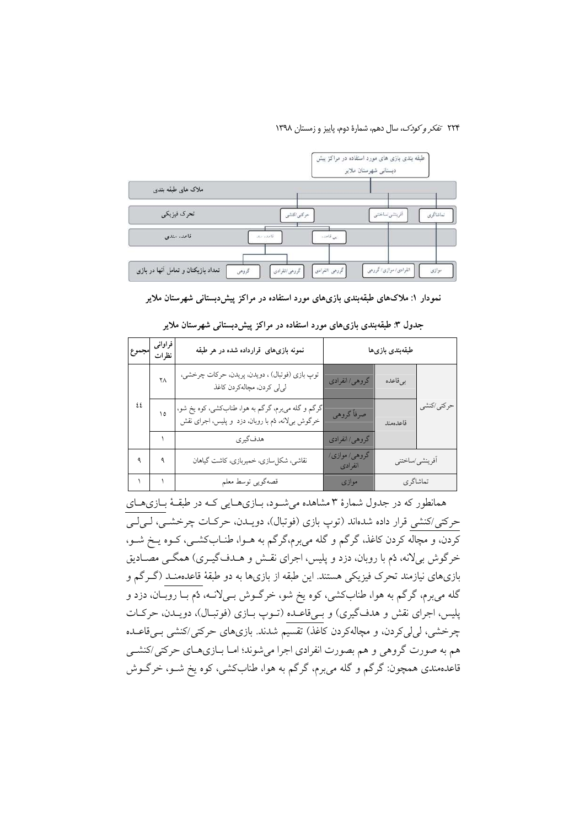۲۲۴ تفکر و *کودک*، سال دهم، شمارهٔ دوم، پاییز و زمستان ۱۳۹۸



نمودار ۱: ملاکهای طبقهبندی بازیهای مورد استفاده در مراکز پیش،دبستانی شهرستان ملایر

| مجموع | فراوانى<br>نظرات | نمونه بازیهای قرارداده شده در هر طبقه                                                                  |                          | طبقەبندى بازىھا |             |
|-------|------------------|--------------------------------------------------------------------------------------------------------|--------------------------|-----------------|-------------|
|       | ٢Λ               | توپ بازی (فوتبال) ، دویدن، پریدن، حرکات چرخشی،<br>لى لى كردن، مچالەكردن كاغذ                           | گروهي/انفرادي            | بى قاعده        |             |
| ٤٤    | ۱٥               | گرگم و گله مۍبرم، گرگم به هوا، طنابکشی، کوه یخ شو،<br>خرگوش برلانه، ثم با روبان، دزد و پلیس، اجرای نقش | صرفاً گروهي              | قاعدهمند        | حركتي /كنشى |
|       |                  | هدفگيري                                                                                                | گروهي/انفرادي            |                 |             |
|       | ٩                | نقاشی، شکلسازی، خمیربازی، کاشت گیاهان                                                                  | گروهي/ موازي/<br>انفرادى | أفرينشي/ساختني  |             |
|       |                  | قصهگويي توسط معلم                                                                                      | موازی                    | تماشاگرى        |             |

جدول ۳: طبقهبندی بازیهای مورد استفاده در مراکز پیشدبستانی شهرستان ملایر

همانطور که در جدول شمارهٔ ۳ مشاهده میشـود، بـازیهـایی کـه در طبقـهٔ بـازیهـای حرکتی/کنشی قرار داده شدهاند (توپ بازی (فوتبال)، دویـدن، حرکـات چرخشـی، لـیلـی کردن، و مچاله کردن کاغذ، گرگم و گله میبرم،گرگم به هــوا، طنــابکشــی، کــوه يــخ شــو، خرگوش بیلانه، دُم با روبان، دزد و پلیس، اجرای نقـش و هــدفگیــری) همگــی مصــادیق بازیهای نیازمند تحرک فیزیکی هستند. این طبقه از بازیها به دو طبقهٔ قاعدهمنـد (گـرگم و گله مي برم، گرگم به هوا، طنابِکشي، کوه يخ شو، خرگـوش بـي(نـه، دُم بــا روبــان، دزد و پلیس، اجرای نقش و هدفگیری) و بےقاعـده (تـوپ بـازی (فوتبـال)، دويـدن، حركـات چرخشی، لی لی کردن، و مچالهکردن کاغذ) تقسیم شدند. بازیهای حرکتی/کنشی بــیقاعــده هم به صورت گروهی و هم بصورت انفرادی اجرا میشوند؛ امـا بـازیهـای حرکتی/کنشـی قاعدهمندی همچون: گرگم و گله میبرم، گرگم به هوا، طنابکشی، کوه یخ شــو، خرگــوش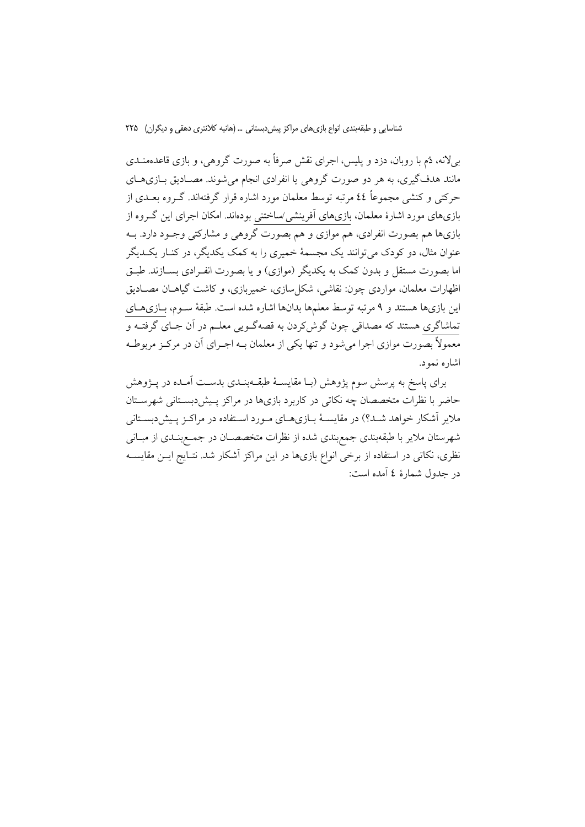بی(لانه، دُم با روبان، دزد و پلیس، اجرای نقش صرفاً به صورت گروهی، و بازی قاعدهمنــدی مانند هدفگیری، به هر دو صورت گروهی یا انفرادی انجام می شوند. مصـادیق بــازیهــای حرکتی و کنشی مجموعاً ٤٤ مرتبه توسط معلمان مورد اشاره قرار گرفتهاند. گــروه بعــدی از بازیهای مورد اشارهٔ معلمان، بازیهای آفرینشی/ساختنی بودهاند. امکان اجرای این گـروه از بازیها هم بصورت انفرادی، هم موازی و هم بصورت گروهی و مشارکتی وجـود دارد. بــه عنوان مثال، دو کودک می توانند یک مجسمهٔ خمیری را به کمک یکدیگر، در کنـار یکـدیگر اما بصورت مستقل و بدون کمک به یکدیگر (موازی) و یا بصورت انف ادی بســازند. طبــق اظهارات معلمان، مواردي چون: نقاشي، شكل سازي، خميربازي، و كاشت گياهــان مصــاديق این بازیها هستند و ۹ مرتبه توسط معلمها بدانها اشاره شده است. طبقهٔ سـوم، بــازیهــای تماشاگری هستند که مصداقی چون گوش کردن به قصهگـویی معلــم در آن جــای گرفتــه و معمولاً بصورت موازي اجرا مي شود و تنها يكي از معلمان بــه اجــراي آن در مركــز مربوطــه اشاره نمود.

برای پاسخ به پرسش سوم پژوهش (بـا مقایسـهٔ طبقــهبنــدی بدســت آمــده در پــژوهش حاضر با نظرات متخصصان چه نکاتی در کاربرد بازیها در مراکز پـیش‹بســتانی شهرســتان ملایر آشکار خواهد شـد؟) در مقایسـهٔ بـازیهـای مـورد اسـتفاده در مراکـز پـیش(دبسـتانی شهرستان ملایر با طبقهبندی جمع بندی شده از نظرات متخصصـان در جمـع بنــدی از مبــانی نظری، نکاتی در استفاده از برخی انواع بازیها در این مراکز آشکار شد. نتـایج ایــن مقایســه در جدول شمارهٔ ٤ آمده است: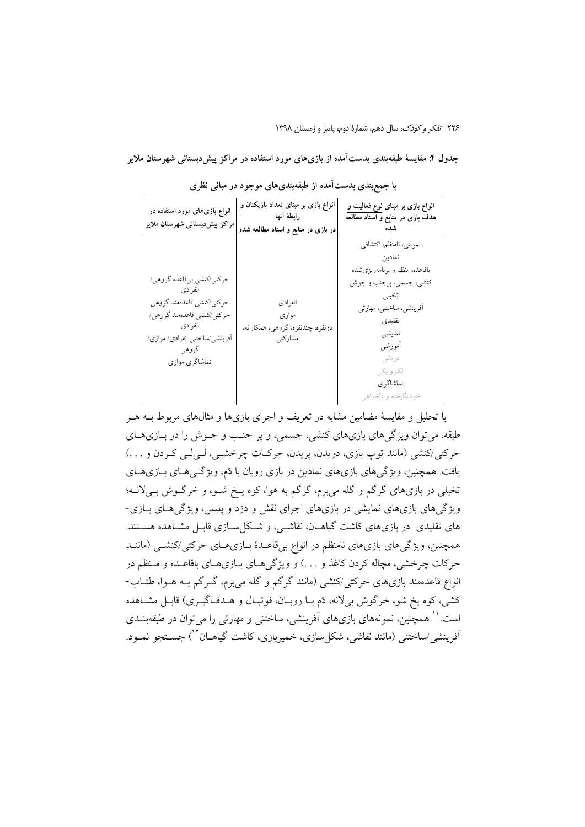۲۲۶ تفكر وكودك، سال دهم، شمارة دوم، ياييز و زمستان ١٣٩٨

جدول ۴: مقایسهٔ طبقهبندی بدستآمده از بازیهای مورد استفاده در مراکز پیش دبستانی شهرستان ملایر

| انواع بازیهای مورد استفاده در<br>مراکز پیشدبستانی شهرستان ملایر                                                                                                          | انواع بازی بر مبنای تعداد بازیکنان و<br>رابطة آنها<br>در بازی در منابع و اسناد مطالعه شده | انواع بازی بر مبنای نوع فعالیت و<br>هدف بازی در منابع و اسناد مطالعه                                                                                                                                                          |
|--------------------------------------------------------------------------------------------------------------------------------------------------------------------------|-------------------------------------------------------------------------------------------|-------------------------------------------------------------------------------------------------------------------------------------------------------------------------------------------------------------------------------|
| حرکتی/کنشی بیقاعده گروهی/<br>انفرادي<br>حركتي/كنشي قاعدهمند گروهي<br>حرکتی/کنشی قاعدهمند گروهی/<br>انفرادي<br>افرینشی ⁄ساختنی انفرادی/ موازی/<br>گروهي<br>تماشاگري موازي | انفرادى<br>موازي<br>دونفره، چندنفره، گروهی، همکارانه،<br>مشاركتي                          | تمريني، نامنظم، اكتشافي<br>نمادين<br>باقاعده، منظم و برنامەريزىشده<br>کنشی، جسمی، پرجنب و جوش<br>تخيلي<br>آفرینشی، ساختنی، مهارتی<br>تقليدى<br>نمايشى<br>أموزشي<br>درمانی<br>الكتر ونيكي<br>تماشاگر ي<br>خودانگيخته و دلخواهي |

با جمعبندی بدستآمده از طبقهبندیهای موجود در مبانی نظری

با تحلیل و مقایسهٔ مضامین مشابه در تعریف و اجرای بازیها و مثالهای مربوط بــه هــر طبقه، میتوان ویژگیهای بازیهای کنشی، جسمی، و پر جنب و جــوش را در بــازیهــای حرکتی/کنشی (مانند توپ بازی، دویدن، پریدن، حرکات چرخشـی، لـیلـی کـردن و . . .) یافت. همچنین، ویژگیهای بازیهای نمادین در بازی روبان با دُم، ویژگیههای بازیهای تخیلی در بازیهای گرگم و گله میبرم، گرگم به هوا، کوه پخ شـو، و خرگـوش بـیلانـه؛ ویژگیهای بازیهای نمایشی در بازیهای اجرای نقش و دزد و پلیس، ویژگیهای بـازی-های تقلیدی ً در بازیهای کاشت گیاهــان، نقاشــی، و شــکل ســازی قابــل مشــاهده هســتند. همچنین، ویژگیهای بازیهای نامنظم در انواع بیقاعـدهٔ بــازیهــای حرکتی/کنشــی (ماننــد حرکات چرخشی، مچاله کردن کاغذ و …) و ویژگی هـای بــازی هــای باقاعــده و مــنظم در انواع قاعدهمند بازیهای حرکتی/کنشی (مانند گرگم و گله میبرم، گـرگم بــه هــوا، طنــاب-كشي، كوه يخ شو، خرگوش بىلانه، دُم بـا روبـان، فوتبـال و هــدف گيــرى) قابـل مشــاهده است.'' همچنین، نمونههای بازیهای آفرینشی، ساختنی و مهارتی را می توان در طبقهبنــدی آفرینشی/ساختنی (مانند نقاشی، شکل سازی، خمیربازی، کاشت گیاهــان<sup>۱۲</sup>) جســتجو نمــود.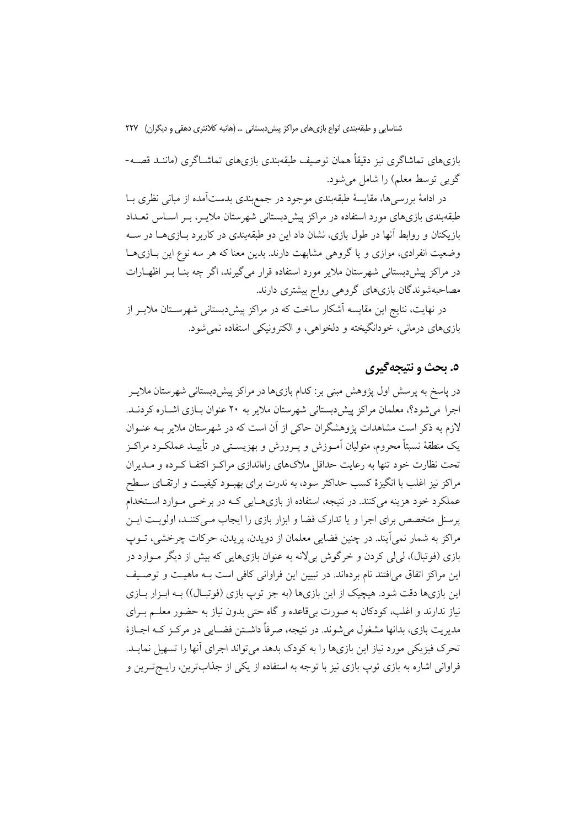بازیهای تماشاگری نیز دقیقاً همان توصیف طبقهبندی بازیهای تماشــاگری (ماننــد قصــه-گویی توسط معلم) را شامل می شود.

در ادامهٔ بررسی ها، مقایسهٔ طبقهبندی موجود در جمع بندی بدستآمده از مبانی نظری بــا طبقهبندی بازیهای مورد استفاده در مراکز پیش دبستانی شهرستان ملایــر، بــر اســاس تعــداد بازیکنان و روابط آنها در طول بازی، نشان داد این دو طبقهبندی در کاربرد بـازیهــا در ســه وضعیت انفرادی، موازی و یا گروهی مشابهت دارند. بدین معنا که هر سه نوع این بـازیهـا در مراکز پیش دبستانی شهرستان ملایر مورد استفاده قرار می گیرند، اگر چه بنــا بــر اظهــارات مصاحبهشوندگان بازیهای گروهی رواج بیشتری دارند.

در نهایت، نتایج این مقایسه آشکار ساخت که در مراکز پیش دبستانی شهرســتان ملایــر از بازيهاي درماني، خودانگيخته و دلخواهي، و الكترونيكي استفاده نمي شود.

### ٥. يحث و نتيجه گيري

در پاسخ به پرسش اول پژوهش مبنی بر: کدام بازیها در مراکز پیش دبستانی شهرستان ملایــر اجرا می شود؟، معلمان مراکز پیش دبستانی شهرستان ملایر به ۲۰ عنوان بـازی اشـاره کردنــد. لازم به ذکر است مشاهدات پژوهشگران حاکی از آن است که در شهرستان ملایر بــه عنــوان يک منطقهٔ نسبتاً محروم، متوليان آمـوزش و يــرورش و بهزيســتي در تأييــد عملکــرد مراکــز تحت نظارت خود تنها به رعایت حداقل ملاکهای راهاندازی مراکـز اکتفـا کـرده و مــدیران مراكز نيز اغلب با انگيزهٔ كسب حداكثر سود، به ندرت براي بهبــود كيفيــت و ارتقــاي ســطح عملکرد خود هزینه میکنند. در نتیجه، استفاده از بازیهایی کـه در برخـی مـوارد اســتخدام پرسنل متخصص برای اجرا و یا تدارک فضا و ابزار بازی را ایجاب مـیکننـد، اولویـت ایـن مراکز به شمار نمی اَیند. در چنین فضایی معلمان از دویدن، پریدن، حرکات چرخشی، تــوپ بازی (فوتبال)، لمیلی کردن و خرگوش بیلانه به عنوان بازیهایی که بیش از دیگر مـوارد در این مراکز اتفاق می|فتند نام بردهاند. در تبیین این فراوانی کافی است بـه ماهیـت و توصـیف این بازیها دقت شود. هیچیک از این بازیها (به جز توپ بازی (فوتبال)) بـه ابـزار بـازی نیاز ندارند و اغلب، کودکان به صورت بیقاعده و گاه حتی بدون نیاز به حضور معلــم بــرای مديريت بازي، بدانها مشغول مي شوند. در نتيجه، صرفاً داشــتن فضــايي در مركــز كــه اجــازهٔ تحرک فیزیکی مورد نیاز این بازیها را به کودک بدهد میتواند اجرای آنها را تسهیل نمایـد. فراوانی اشاره به بازی توپ بازی نیز با توجه به استفاده از یکی از جذابترین، رایــج-تــرین و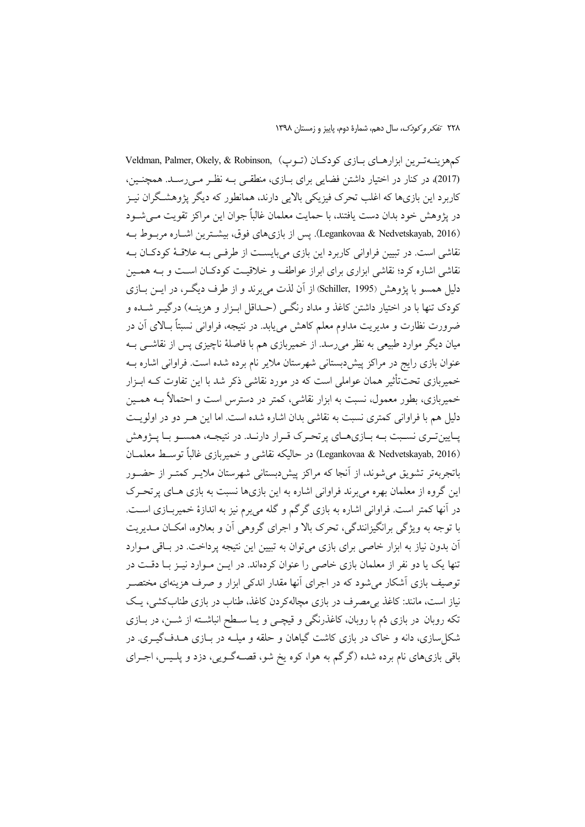كمهزينـهترين ابزارهـاي بـازي كودكـان (تـوب) ,Veldman, Palmer, Okely, & Robinson (2017)، در کنار در اختیار داشتن فضایی برای بـازی، منطقـی بـه نظـر مـی رسـد. همچنـین، کاربرد این بازیها که اغلب تحرک فیزیکی بالایی دارند، همانطور که دیگر پژوهشگران نیـز در پژوهش خود بدان دست یافتند، با حمایت معلمان غالباً جوان این مراکز تقویت مـی شــود (Legankovaa & Nedvetskayab, 2016). يس از بازي هاي فوق، بيشترين اشباره مرببوط بـه نقاشی است. در تبیین فراوانی کاربرد این بازی میبایسـت از طرفـی بـه علاقـهٔ کودکـان بـه نقاشی اشاره کرد؛ نقاشی ابزاری برای ابراز عواطف و خلاقیت کودکـان اسـت و بــه همـین دلیل همسو با یژوهش (Schiller, 1995) از آن لذت می برند و از طرف دیگــر، در ایــن بــازی کودک تنها با در اختیار داشتن کاغذ و مداد رنگبی (حـداقل ابـزار و هزینـه) درگیــر شــده و ضرورت نظارت و مدیریت مداوم معلم کاهش می یابد. در نتیجه، فراوانی نسبتاً بـالای آن در میان دیگر موارد طبیعی به نظر می رسد. از خمیربازی هم با فاصلهٔ ناچیزی پس از نقاشــی بــه عنوان بازی رایج در مراکز پیش دبستانی شهرستان ملایر نام برده شده است. فراوانی اشاره بـه خمیربازی تحتتأثیر همان عواملی است که در مورد نقاشی ذکر شد با این تفاوت کــه ابــزار خمیربازی، بطور معمول، نسبت به ابزار نقاشی، کمتر در دسترس است و احتمالاً بــه همــین دلیل هم با فراوانی کمتری نسبت به نقاشی بدان اشاره شده است. اما این هـر دو در اولویـت یـایین تـری نسـبت بـه بـازیهـای پر تحـرک قـرار دارنـد. در نتیجـه، همسـو بـا پــژوهش (Legankovaa & Nedvetskayab, 2016) در حاليكه نقاشي و خميربازي غالباً توسط معلمـان باتجربهتر تشویق می شوند، از آنجا که مراکز پیش دبستانی شهرستان ملایــر کمتــر از حضــور این گروه از معلمان بهره می برند فراوانی اشاره به این بازیها نسبت به بازی هـای پرتحـرک در آنها کمتر است. فراوانی اشاره به بازی گرگم و گله می برم نیز به اندازهٔ خمیربــازی اســت. با توجه به ویژگی برانگیزانندگی، تحرک بالا و اجرای گروهی آن و بعلاوه، امکـان مـدیریت آن بدون نیاز به ابزار خاصی برای بازی می توان به تبیین این نتیجه پرداخت. در باقی مـوارد تنها یک یا دو نفر از معلمان بازی خاصی را عنوان کردهاند. در ایــن مــوارد نیــز بــا دقــت در توصیف بازی آشکار می شود که در اجرای آنها مقدار اندکی ابزار و صرف هزینهای مختصـر نیاز است، مانند: کاغذ بی مصرف در بازی مچالهکردن کاغذ، طناب در بازی طنابکشی، پک تکه روبان در بازی دُم با روبان، کاغذرنگی و قیچـی و یــا ســطح انباشــته از شــن، در بــازی شکل سازی، دانه و خاک در بازی کاشت گیاهان و حلقه و میلــه در بــازی هــدفگیــری. در باقی بازیهای نام برده شده (گرگم به هوا، کوه یخ شو، قصـهگـویی، دزد و پلـیس، اجـرای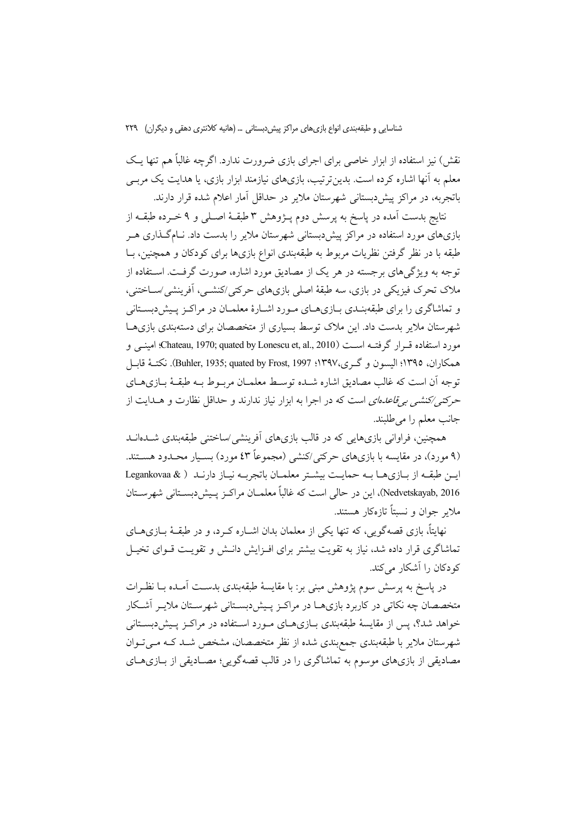نقش) نیز استفاده از ابزار خاصی برای اجرای بازی ضرورت ندارد. اگرچه غالباً هم تنها یـک معلم به آنها اشاره کرده است. بدین تر تیب، بازیهای نیازمند ابزار بازی، یا هدایت یک مربـی باتجربه، در مراكز پیش دبستانی شهرستان ملایر در حداقل آمار اعلام شده قرار دارند.

نتايج بدست آمده در پاسخ به پرسش دوم پـژوهش ۳ طبقـهٔ اصـلـی و ۹ خــرده طبقــه از بازیهای مورد استفاده در مراکز پیش دبستانی شهرستان ملایر را بدست داد. نـامگـذاری هــر طبقه با در نظر گرفتن نظریات مربوط به طبقهبندی انواع بازیها برای کودکان و همچنین، بــا توجه به ویژگیهای برجسته در هر یک از مصادیق مورد اشاره، صورت گرفت. اسـتفاده از ملاک تحرک فیزیکی در بازی، سه طبقهٔ اصلی بازیهای حرکتی/کنشــی، اَفرینشی/ســاختنی، و تماشاگری را برای طبقهبنـدی بـازیهـای مـورد اشـارهٔ معلمـان در مراکـز پـیش(بسـتانی شهرستان ملایر بدست داد. این ملاک توسط بسیاری از متخصصان برای دستهبندی بازیهـا مورد استفاده قسرار گرفتــه اســت (Chateau, 1970; quated by Lonescu et, al., 2010)؛ امينــي و همكاران، ١٣٩٥؛ اليسون و گـرى،١٣٩٧؛ 1٣٩٧، Buhler, 1935; quated by Frost, 1997، نكتــهٔ قابــل توجه أن است كه غالب مصاديق اشاره شـده توسـط معلمـان مربـوط بــه طبقــهٔ بــازىهــاي حرکتهی⁄کنشهی به ق*اعدهای* است که در اجرا به ابزار نیاز ندارند و حداقل نظارت و هــدایت از جانب معلم را م<sub>ی</sub>طلبند.

همچنین، فراوانی بازیهایی که در قالب بازیهای آفرینشی/ساختنی طبقهبندی شــدهانــد (۹ مورد)، در مقایسه با بازیهای حرکتی/کنشی (مجموعاً ٤٣ مورد) بسـیار محـدود هسـتند. این طبقه از بازی ها به حمایت بیشتر معلمان باتجربه نیاز دارند ( Legankovaa & Nedvetskayab, 2016)، این در حالی است که غالباً معلمـان مراکـز پـیش(دبسـتانی شهرسـتان ملابر جوان و نسبتاً تازهکار هستند.

نهایتاً، بازی قصهگویی، که تنها یکی از معلمان بدان اشــاره کــرد، و در طبقــهٔ بــازیهــای تماشاگری قرار داده شد، نیاز به تقویت بیشتر برای افـزایش دانـش و تقویـت قــوای تخیــل کو دکان را آشکار مے کند.

در پاسخ به پرسش سوم پژوهش مبنی بر: با مقایسهٔ طبقهبندی بدسـت آمـده بــا نظــرات متخصصان چه نکاتی در کاربرد بازیهـا در مراکـز پـیش(بسـتانی شهرسـتان ملایـر آشـکار خواهد شد؟، پس از مقایسهٔ طبقهبندی بـازیهـای مـورد اسـتفاده در مراکـز پـیش(بسـتانی شهرستان ملایر با طبقهبندی جمع بندی شده از نظر متخصصان، مشخص شـد کـه مـیتوان مصادیقی از بازیهای موسوم به تماشاگری را در قالب قصهگویی؛ مصـادیقی از بـازیهـای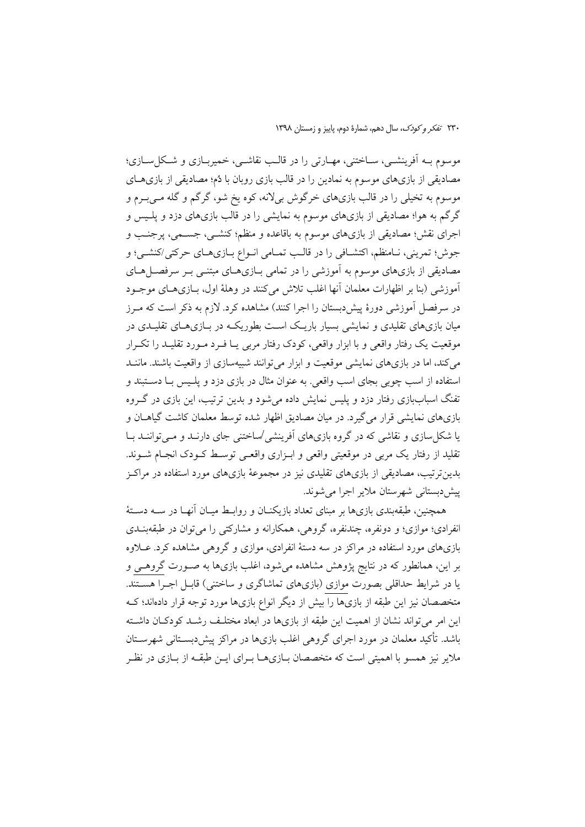موسوم بـه اَفرينشــي، ســاختني، مهــارتي را در قالــب نقاشــي، خميربــازي و شــكل ســازي؛ مصادیقی از بازیهای موسوم به نمادین را در قالب بازی روبان با دُم؛ مصادیقی از بازیهــای موسوم به تخیلی را در قالب بازیهای خرگوش بیلانه، کوه یخ شو، گرگم و گله مـیبـرم و گرگم به هوا؛ مصادیقی از بازیهای موسوم به نمایشی را در قالب بازیهای دزد و پلـیس و اجرای نقش؛ مصادیقی از بازیهای موسوم به باقاعده و منظم؛ کنشــی، جســمی، پرجنـب و جوش؛ تمرینی، نـامنظم، اکتشـافی را در قالـب تمـامی انـواع بـازیهـای حرکتی/کنشـی؛ و مصادیقی از بازیهای موسوم به آموزشی را در تمامی بـازیهــای مبتنــی بــر سرفصــلهــای آموزشي (بنا بر اظهارات معلمان آنها اغلب تلاش مي كنند در وهلهٔ اول، بــازيهــاي موجــود در سرفصل آموزشی دورهٔ پیش دبستان را اجرا کنند) مشاهده کرد. لازم به ذکر است که مـرز میان بازیهای تقلیدی و نمایشی بسیار باریک است بطوریک در بازیهای تقلیـدی در موقعیت یک رفتار واقعی و با ابزار واقعی، کودک رفتار مربی یـا فـرد مـورد تقلیـد را تکـرار میکند، اما در بازیهای نمایشی موقعیت و ابزار میتوانند شبیهسازی از واقعیت باشند. ماننــد استفاده از اسب چوبی بجای اسب واقعی. به عنوان مثال در بازی دزد و پلـیس بــا دســتبند و تفنگ اسباببازی رفتار دزد و پلیس نمایش داده می شود و بدین ترتیب، این بازی در گـروه بازیهای نمایشی قرار میگیرد. در میان مصادیق اظهار شده توسط معلمان کاشت گیاهــان و یا شکل سازی و نقاشی که در گروه بازیهای آفرینشی /ساختنی جای دارنـد و مـی تواننـد بـا تقلید از رفتار یک مربی در موقعیتی واقعی و ابـزاری واقعـی توسـط کـودک انجـام شـوند. بدین ترتیب، مصادیقی از بازیهای تقلیدی نیز در مجموعهٔ بازیهای مورد استفاده در مراکـز پیش دبستانی شهرستان ملایر اجرا می شوند.

همچنین، طبقهبندی بازیها بر مبنای تعداد بازیکنــان و روابــط میــان آنهــا در ســه دســتهٔ انفرادي؛ موازي؛ و دونفره، چندنفره، گروهي، همکارانه و مشارکتي را مي توان در طبقهبنــدي بازیهای مورد استفاده در مراکز در سه دستهٔ انفرادی، موازی و گروهی مشاهده کرد. عــلاوه بر این، همانطور که در نتایج پژوهش مشاهده میشود، اغلب بازیها به صـورت گروهـی و یا در شرایط حداقلی بصورت موازی (بازیهای تماشاگری و ساختنی) قابـل اجـرا هسـتند. متخصصان نیز این طبقه از بازیها را بیش از دیگر انواع بازیها مورد توجه قرار دادهاند؛ ک این امر می تواند نشان از اهمیت این طبقه از بازیها در ابعاد مختلـف رشـد کودکـان داشـته باشد. تأکید معلمان در مورد اجرای گروهی اغلب بازیها در مراکز پیش دبسـتانی شهرسـتان ملایر نیز همسو با اهمیتی است که متخصصان بـازیهـا بـرای ایــن طبقــه از بــازی در نظـر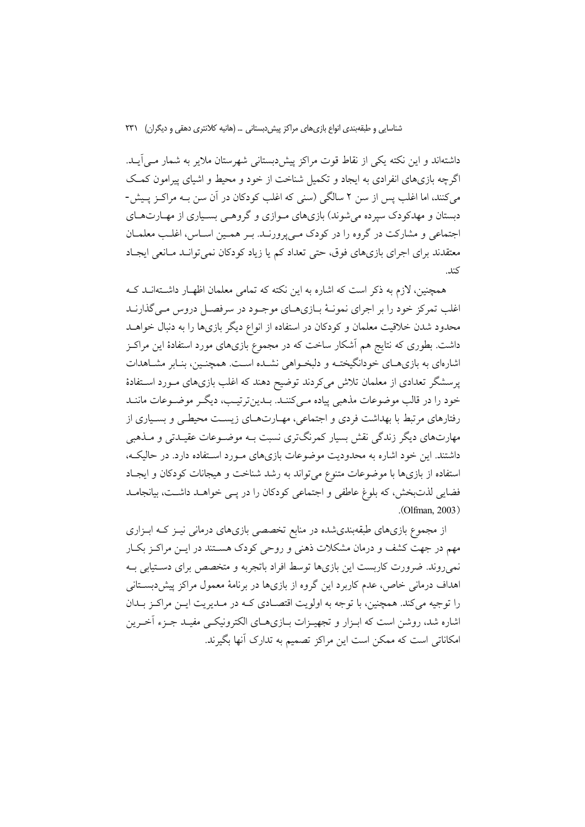داشتهاند و این نکته یکی از نقاط قوت مراکز پیش دبستانی شهرستان ملایر به شمار مـی]یـد. اگرچه بازیهای انفرادی به ایجاد و تکمیل شناخت از خود و محیط و اشیای پیرامون کمک می کنند، اما اغلب پس از سن ۲ سالگی (سنی که اغلب کودکان در آن سن بـه مراکـز پـیش-دبستان و مهدکودک سیرده می شوند) بازیهای مـوازی و گروهـی بسـیاری از مهـارتهـای اجتماعی و مشارکت در گروه را در کودک مـی پرورنـد. بـر همـین اسـاس، اغلـب معلمـان معتقدند برای اجرای بازیهای فوق، حتی تعداد کم یا زیاد کودکان نمی توانـد مـانعی ایجـاد كند.

همچنین، لازم به ذکر است که اشاره به این نکته که تمامی معلمان اظهـار داشـتهانـد کـه اغلب تمرکز خود را بر اجرای نمونـهٔ بـازیهـای موجـود در سرفصـل دروس مـی گذارنــد محدود شدن خلاقیت معلمان و کودکان در استفاده از انواع دیگر بازیها را به دنبال خواهــد داشت. بطوری که نتایج هم آشکار ساخت که در مجموع بازیهای مورد استفادهٔ این مراکـز اشارهای به بازیهـای خودانگیختـه و دلبخـواهی نشـده اسـت. همچنـین، بنـابر مشـاهدات پرسشگر تعدادی از معلمان تلاش میکردند توضیح دهند که اغلب بازیهای مورد استفادهٔ خود را در قالب موضوعات مذهبی پیاده مـیکننــد. بــدینترتیــب، دیگــر موضــوعات ماننــد رفتارهای مرتبط با بهداشت فردی و اجتماعی، مهـارتهـای زیسـت محیطـی و بسـیاری از مهارتهای دیگر زندگی نقش بسیار کمرنگتری نسبت بـه موضـوعات عقیـدتی و مــذهبی داشتند. این خود اشاره به محدودیت موضوعات بازیهای مـورد اسـتفاده دارد. در حالیکـه، استفاده از بازیها با موضوعات متنوع می تواند به رشد شناخت و هیجانات کودکان و ایجاد فضایی لذتبخش، که بلوغ عاطفی و اجتماعی کودکان را در یے خواهـد داشـت، بیانجامـد  $.$  (Olfman, 2003)

از مجموع بازیهای طبقهبندیشده در منابع تخصصی بازیهای درمانی نیـز کـه ابـزاری مهم در جهت کشف و درمان مشکلات ذهنی و روحی کودک هسـتند در ایــن مراکــز بکــار نمیروند. ضرورت کاربست این بازیها توسط افراد باتجربه و متخصص برای دستیابی بـه اهداف درمانی خاص، عدم کاربرد این گروه از بازیها در برنامهٔ معمول مراکز پیش دبسـتانی را توجیه می کند. همچنین، با توجه به اولویت اقتصـادی کـه در مـدیریت ایــن مراکــز بــدان اشاره شد، روشن است که ابـزار و تجهیـزات بــازیهــای الکترونیکــی مفیــد جــزء آخــرین امکاناتی است که ممکن است این مراکز تصمیم به تدارک آنها بگیرند.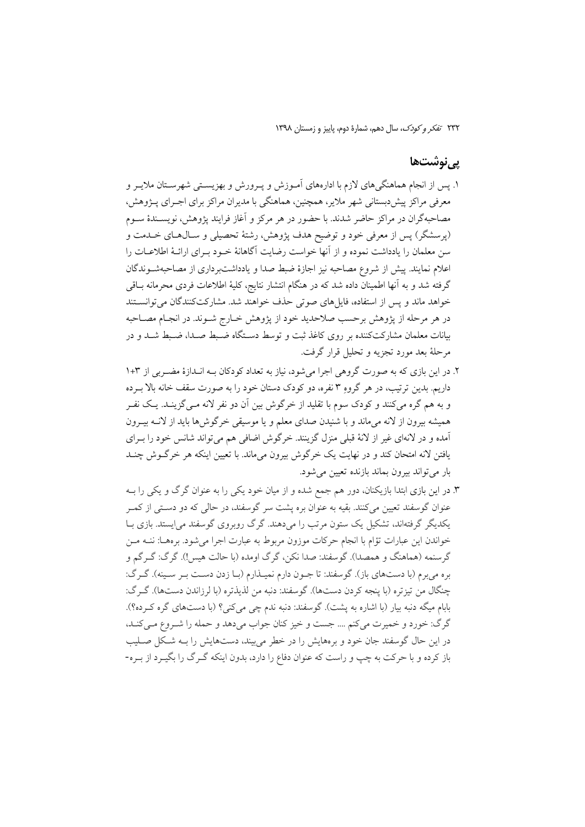### یے نوشتھا

- ۱. پس از انجام هماهنگیهای لازم با ادارههای آمـوزش و پـرورش و بهزیسـتی شهرسـتان ملایـر و معرفی مراکز پیش دبستانی شهر ملایر، همچنین، هماهنگی با مدیران مراکز برای اجـرای پــژوهش، مصاحبهگران در مراکز حاضر شدند. با حضور در هر مرکز و آغاز فرایند پژوهش، نویســندهٔ ســوم (پرسشگر) پس از معرفی خود و توضیح هدف پژوهش، رشتهٔ تحصیلی و سـال۵حای خــدمت و سن معلمان را یادداشت نموده و از آنها خواست رضایت آگاهانهٔ خـود بـرای ارائــهٔ اطلاعــات را اعلام نمایند. پیش از شروع مصاحبه نیز اجازهٔ ضبط صدا و یادداشتبرداری از مصاحبهشـوندگان گرفته شد و به آنها اطمینان داده شد که در هنگام انتشار نتایج، کلیهٔ اطلاعات فردی محرمانه بـاقی خواهد ماند و پس از استفاده، فایلهای صوتی حذف خواهند شد. مشارکتکنندگان می توانستند در هر مرحله از پژوهش برحسب صلاحدید خود از پژوهش خـارج شـوند. در انجـام مصـاحبه بیانات معلمان مشارکتکننده بر روی کاغذ ثبت و توسط دستگاه ضـبط صـدا، ضـبط شـد و در مرحلهٔ بعد مورد تجزیه و تحلیل قرار گرفت.
- ۲. در این بازی که به صورت گروهی اجرا میشود، نیاز به تعداد کودکان بـه انـدازهٔ مضـربی از ۳+۱ داریم. بدین ترتیب، در هر گروهِ ۳ نفره، دو کودک دستان خود را به صورت سقف خانه بالا بـرده و به هم گره مي کنند و کودک سوم با تقليد از خرگوش بين آن دو نفر لانه مـي گزينـد. يـک نفـر همیشه بیرون از لانه میماند و با شنیدن صدای معلم و یا موسیقی خرگوش ها باید از لانـه بیـرون اًمده و در لانهای غیر از لانهٔ قبلی منزل گزینند. خرگوش اضافی هم می تواند شانس خود را بـرای یافتن لانه امتحان کند و در نهایت یک خرگوش بیرون میءاند. با تعیین اینکه هر خرگــوش چنــد بار می تواند بیرون بماند بازنده تعیین می شود.
- ۳. در این بازی ابتدا بازیکنان، دور هم جمع شده و از میان خود یکی را به عنوان گرگ و یکی را بـه عنوان گوسفند تعیین میکنند. بقیه به عنوان بره پشت سر گوسفند، در حالی که دو دستی از کمـر یکدیگر گرفتهاند، تشکیل یک ستون مرتب را میدهند. گرگ روبروی گوسفند می!یستد. بازی بـا خواندن این عبارات تؤام با انجام حرکات موزون مربوط به عبارت اجرا می شود. برههـا: ننــه مــن گرسنمه (هماهنگ و همصدا). گوسفند: صدا نکن، گرگ اومده (با حالت هیس!). گرگ: گـرگم و بره مي برم (با دستهاي باز). گوسفند: تا جـون دارم نميـذارم (بـا زدن دسـت بـر سـينه). گـرگ: چنگال من تيزتره (با ينجه كردن دستها). گوسفند: دنبه من لذيذتره (با لرزاندن دستها). گـرگ: بابام میگه دنبه بیار (با اشاره به پشت). گوسفند: دنبه ندم چی می کنی؟ (با دستهای گره کـرده؟). گرگ: خورد و خمیرت میکنم .... جست و خیز کنان جواب میدهد و حمله را شـروع مـیکنـد، در این حال گوسفند جان خود و برههایش را در خطر می بیند، دستهایش را بـه شـكل صـلیب باز کرده و با حرکت به چپ و راست که عنوان دفاع را دارد، بدون اینکه گـرگ را بگیـرد از بـره-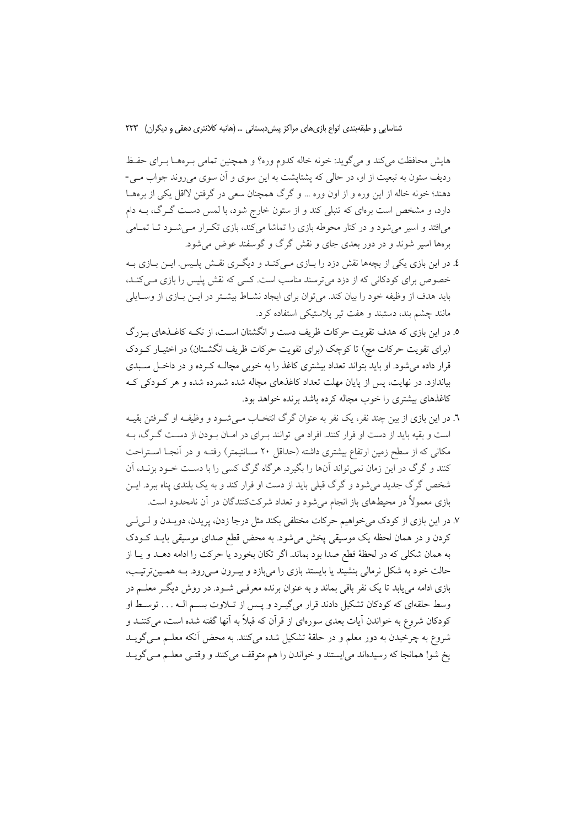هایش محافظت می کند و می گوید: خونه خاله کدوم وره؟ و همچنین تمامی بـرههـا بـرای حفـظ ردیف ستون به تبعیت از او، در حالی که پشتایشت به این سوی و آن سوی می روند جواب مـی-دهند؛ خونه خاله از این وره و از اون وره … و گرگ همچنان سعی در گرفتن لااقل یکی از برههـا دارد، و مشخص است برمای که تنبلی کند و از ستون خارج شود، با لمس دست گـرگ، بــه دام میافتد و اسیر میشود و در کنار محوطه بازی را تماشا میکند، بازی تکـرار مـیشـود تـا تمـامی برهها اسیر شوند و در دور بعدی جای و نقش گرگ و گوسفند عوض می شود.

- ٤. در این بازی یکی از بچهها نقش دزد را بــازی مــی کنــد و دیگــری نقــش پلــیس. ایــن بــازی بــه خصوص برای کودکانی که از دزد میترسند مناسب است. کسی که نقش پلیس را بازی می کنـد، باید هدف از وظیفه خود را بیان کند. می توان برای ایجاد نشـاط بیشـتر در ایـن بـازی از وسـایلی مانند چشم بند، دستبند و هفت تیر پلاستیکی استفاده کرد.
- ۵. در این بازی که هدف تقویت حرکات ظریف دست و انگشتان اسـت، از تکــه کاغــذهای بــزرگ (برای تقویت حرکات مچ) تا کوچک (برای تقویت حرکات ظریف انگشـتان) در اختیـار کـودک قرار داده می شود. او باید بتواند تعداد بیشتری کاغذ را به خوبی مچالـه کـرده و در داخـل سـبدی بیاندازد. در نهایت، پس از پایان مهلت تعداد کاغذهای مچاله شده شمرده شده و هر کـودکی کـه کاغذهای بیشتری را خوب مچاله کرده باشد برنده خواهد بود.
- ٦. در این بازی از بین چند نفر، یک نفر به عنوان گرگ انتخـاب مـه شـود و وظیفـه او گـرفتن بقیـه است و بقیه باید از دست او فرار کنند. افراد می توانند بهرای در امـان بـودن از دسـت گـرگ، بـه مکانی که از سطح زمین ارتفاع بیشتری داشته (حداقل ۲۰ سـانتیمتر) رفتـه و در آنجـا اسـتراحت کنند و گرگ در این زمان نمی تواند آنها را بگیرد. هرگاه گرگ کسی را با دست خـود بزنــد، آن شخص گرگ جدید می شود و گرگ قبلی باید از دست او فرار کند و به یک بلندی پناه ببرد. ایــن بازی معمولاً در محیطهای باز انجام میشود و تعداد شرکتکنندگان در آن نامحدود است.
- ٧. در این بازی از کودک می خواهیم حرکات مختلفی بکند مثل درجا زدن، پریدن، دویــدن و لــی لــی کردن و در همان لحظه یک موسیقی پخش میشود. به محض قطع صدای موسیقی بایـد کـودک به همان شكلي كه در لحظهٔ قطع صدا بود بماند. اگر تكان بخورد يا حركت را ادامه دهـد و يـا از حالت خود به شکل نرمالی بنشیند یا بایستد بازی را میبازد و بیـرون مـیرود. بـه همـینترتیـب، بازی ادامه می یابد تا یک نفر باقی بماند و به عنوان برنده معرفـی شـود. در روش دیگـر معلـم در وسط حلقهای که کودکان تشکیل دادند قرار میگیرد و پس از تلاوت بسم الـه . . . توسط او کودکان شروع به خواندن آیات بعدی سورهای از قرآن که قبلاً به آنها گفته شده است، میکننــد و شروع به چرخیدن به دور معلم و در حلقهٔ تشکیل شده میکنند. به محض أنکه معلــم مــیگویــد یخ شو! همانجا که رسیدهاند می|یستند و خواندن را هم متوقف میکنند و وقتـی معلـم مـیگویــد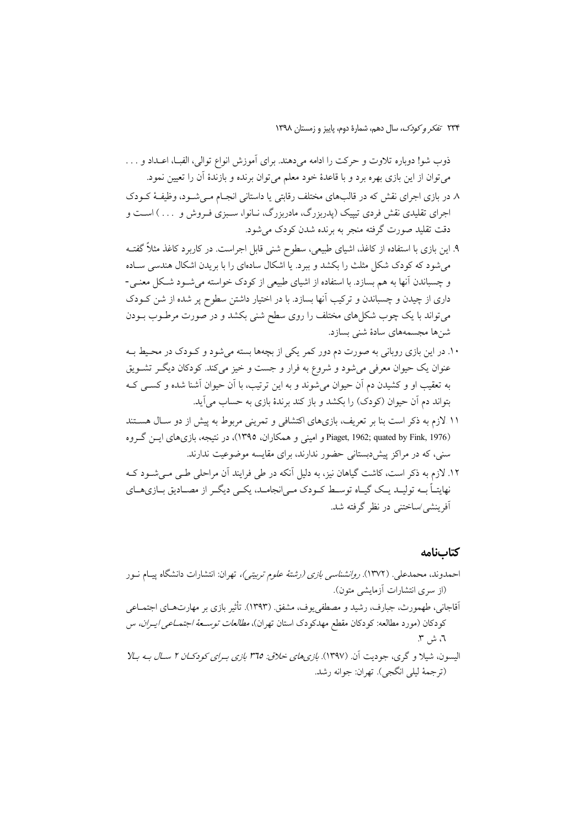ذوب شو! دوباره تلاوت و حرکت را ادامه میدهند. برای آموزش انواع توالی، الفبـا، اعــداد و . . . مي توان از اين بازي بهره برد و با قاعدهٔ خود معلم مي توان برنده و بازندهٔ آن را تعيين نمود.

- ٨ در بازی اجرای نقش که در قالبهای مختلف رقابتی یا داستانی انجـام مـی شـود، وظیفـهٔ کـودک اجرای تقلیدی نقش فردی تیپیک (پدربزرگ، مادربزرگ، نـانوا، سـبزی فـروش و … ) اسـت و دقت تقلید صورت گرفته منجر به برنده شدن کودک می شود.
- ۹. این بازی با استفاده از کاغذ، اشیای طبیعی، سطوح شنی قابل اجراست. در کاربرد کاغذ مثلاً گفتــه می شود که کودک شکل مثلث را بکشد و ببرد. یا اشکال سادمای را با بریدن اشکال هندسی سـاده و چسباندن آنها به هم بسازد. با استفاده از اشیای طبیعی از کودک خواسته می شـود شـکل معنـی-داری از چیدن و چسباندن و ترکیب آنها بسازد. با در اختیار داشتن سطوح پر شده از شن کـودک می تواند با یک چوب شکلهای مختلف را روی سطح شنی بکشد و در صورت مرطـوب بــودن شنها مجسمههای سادهٔ شنی بسازد.
- ۱۰. در این بازی روبانی به صورت دم دور کمر یکی از بچهها بسته میشود و کـودک در محـیط بـه عنوان یک حیوان معرفی میشود و شروع به فرار و جست و خیز میکند. کودکان دیگـر تشــویق به تعقیب او و کشیدن دم آن حیوان می شوند و به این ترتیب، با آن حیوان آشنا شده و کسبی ک بتواند دم آن حیوان (کودک) را بکشد و باز کند برندهٔ بازی به حساب می آید.
- ۱۱ لازم به ذکر است بنا بر تعریف، بازیهای اکتشافی و تمرینی مربوط به پیش از دو سـال هسـتند Piaget, 1962; quated by Fink, 1976) و امینی و همکاران، ۱۳۹۵)، در نتیجه، بازی های ایس گروه سنی، که در مراکز پیشدبستانی حضور ندارند، برای مقایسه موضوعیت ندارند.
- ١٢. لازم به ذکر است، کاشت گیاهان نیز، به دلیل آنکه در طی فرایند آن مراحلی طبی مبی شـود کـه نهایتـاً بــه تولیــد یــک گیــاه توســط کــودک مــی|نجامــد، یکــی دیگــر از مصــادیق بــازیهــای آفرینشی/ساختنی در نظر گرفته شد.

#### كتابنامه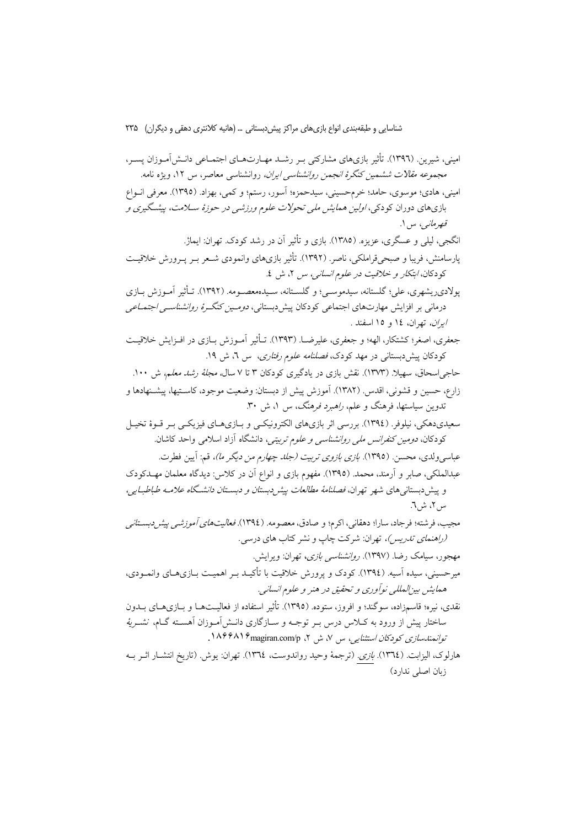امینی، شیرین (۱۳۹٦). تأثیر بازیهای مشارکتی بـر رشـد مهـارتهـای اجتمـاعی دانـش آمـوزان پسـر، مجم*وعه مقالات ششمین کنگرهٔ انجمن روانشناسی ایران،* روانشناسی معاصر، س ۱۲، ویژه نامه. اميني، هادي؛ موسوى، حامد؛ خرمحسيني، سيدحمزه؛ آسور، رستم؛ و كمي، بهزاد. (١٣٩٥). معرفي انسواع بازیهای دوران کودکی، *اولین همایش ملی تحولات علوم ورزشی در حوزهٔ ســلامت، پیشـگیری و* قصرماني، س ۱. انگجی، لیلی و عسگری، عزیزه. (١٣٨٥). بازی و تأثیر اَن در رشد کودک. تهران: ایماژ. پارسامنش، فریبا و صبحی قراملکی، ناصر. (۱۳۹۲). تأثیر بازیهای وانمودی شـعر بـر پـرورش خلاقیـت كودكان، *ابتكار و خلاقيت در علوم انساني، س* ٢، ش ٤. يولاديريشهري، علي؛ گلستانه، سيدموسـي؛ و گلســتانه، سـيدهمعصــومه. (١٣٩٢). تــأثير آمــوزش بــازي درمانی بر افزایش مهارتهای اجتماعی کودکان پیش دبستانی، *دومین کنگرهٔ روانشناسی اجتمــاعی ايران،* تهران، ١٤ و ١٥ اسفند . جعفري، اصغر؛ كشتكار، الهه؛ و جعفري، عليرضــا. (١٣٩٣). تــأثير آمــوزش بــازي در افــزايش خلاقيـت کودکان پیشدبستانی در مهد کودک، *فصلنامه علوم رفتاری*، س ۲، ش ۱۹. حاج اسحاق، سهیلا. (۱۳۷۳). نقش بازی در یادگیری کودکان ۳ تا ۷ سال*، مجلهٔ رشد معلم،* ش ۱۰۰. زارع، حسین و قشونی، اقدس (١٣٨٢). آموزش پیش از دبستان: وضعیت موجود، کاسـتیها، پیشـنهادها و تدوین سیاستها، فرهنگ و علم، ر*اهبرد فرهنگ*، س ۱، ش ۳۰. سعیدیدهکی، نیلوفر. (١٣٩٤). بررسی اثر بازیهای الکترونیکـی و بـازیهـای فیزیکـی بـر قـوهٔ تخیـل کودکان، *دومین کنفرانس ملی روانشناسی و علوم تربیتی،* دانشگاه آزاد اسلامی واحد کاشان. عباسی ولدی، محسن. (١٣٩٥). *بازی بازوی تربیت (جلد چهارم من دیگر ما)،* قم: آیین فطرت. عبدالملکی، صابر و آرمند، محمد. (١٣٩٥). مفهوم بازی و انواع آن در کلاس: دیدگاه معلمان مهــدکودک و پیش دبستانی های شهر تهران، *فصلنامهٔ مطالعات پیش دبستان و دبستان دانشگاه علامـه طباطبـایی،* س ٢، ش ٦. مجيب، فرشته؛ فرجاد، سارا؛ دهقاني، اكرم؛ و صادق، معصومه. (١٣٩٤). *فعاليتهاي أموزشبي ييش دبسـتاني* (راهنمای تدریس)، تهران: شرکت چاپ و نشر کتاب های درسی. مهجور، سیامک رضا. (۱۳۹۷). *روانشناسی بازی،* تهران: ویرایش. میرحسینی، سیده آسیه. (١٣٩٤). کودک و پرورش خلاقیت با تأکیـد بـر اهمیـت بــازیهــای وانمــودی، همايش بين المللي نوآوري و تحقيق در هنر و علوم انساني. نقدی، نیره؛ قاسمزاده، سوگند؛ و افروز، ستوده. (١٣٩٥). تأثیر استفاده از فعالیــتهــا و بــازیهــای بــدون ساختار پیش از ورود به کـلاس درس بـر توجــه و ســازگاری دانــش|مــوزان اَهســته گــام، نشـــر*یهٔ* توانمندسازی کودکان استثنایی، س ۷، ش ۲، ۱۸۴۴۸۱۶ magiran.com/p. هارلوک، الیزابت. (١٣٦٤). *بازی.* (ترجمهٔ وحید رواندوست، ١٣٦٤). تهران: یوش. (تاریخ انتشـار اثـر بــه زبان اصلی ندارد)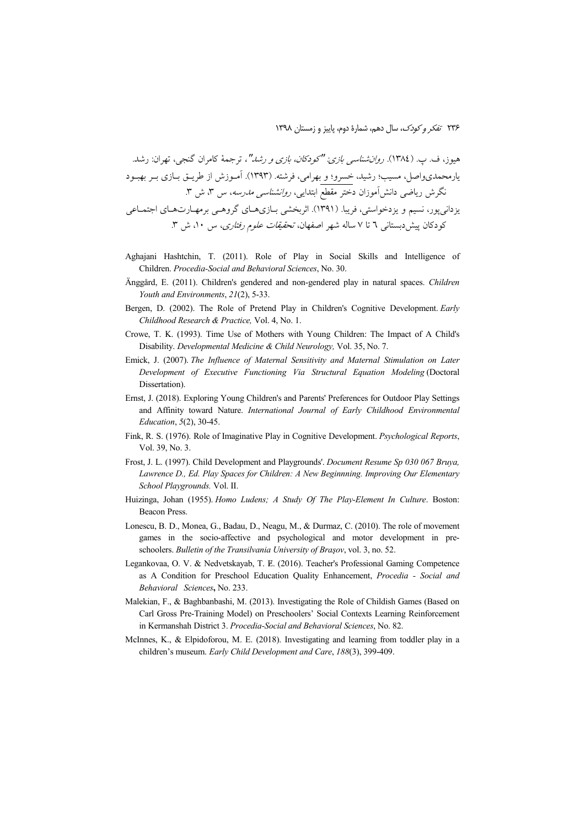- Aghaiani Hashtchin, T. (2011). Role of Play in Social Skills and Intelligence of Children. Procedia-Social and Behavioral Sciences, No. 30.
- Änggård, E. (2011). Children's gendered and non-gendered play in natural spaces. Children Youth and Environments, 21(2), 5-33.
- Bergen, D. (2002). The Role of Pretend Play in Children's Cognitive Development. Early Childhood Research & Practice, Vol. 4, No. 1.
- Crowe, T. K. (1993). Time Use of Mothers with Young Children: The Impact of A Child's Disability. Developmental Medicine & Child Neurology, Vol. 35, No. 7.
- Emick, J. (2007). The Influence of Maternal Sensitivity and Maternal Stimulation on Later Development of Executive Functioning Via Structural Equation Modeling (Doctoral Dissertation).
- Ernst, J. (2018). Exploring Young Children's and Parents' Preferences for Outdoor Play Settings and Affinity toward Nature. International Journal of Early Childhood Environmental Education, 5(2), 30-45.
- Fink, R. S. (1976). Role of Imaginative Play in Cognitive Development. Psychological Reports, Vol. 39, No. 3.
- Frost, J. L. (1997). Child Development and Playgrounds'. *Document Resume Sp 030 067 Bruya*, Lawrence D., Ed. Play Spaces for Children: A New Beginnning. Improving Our Elementary School Playgrounds. Vol. II.
- Huizinga, Johan (1955). Homo Ludens; A Study Of The Play-Element In Culture. Boston: **Beacon Press.**
- Lonescu, B. D., Monea, G., Badau, D., Neagu, M., & Durmaz, C. (2010). The role of movement games in the socio-affective and psychological and motor development in preschoolers. Bulletin of the Transilvania University of Braşov, vol. 3, no. 52.
- Legankovaa, O. V. & Nedvetskayab, T. E. (2016). Teacher's Professional Gaming Competence as A Condition for Preschool Education Quality Enhancement, Procedia - Social and Behavioral Sciences, No. 233.
- Malekian, F., & Baghbanbashi, M. (2013). Investigating the Role of Childish Games (Based on Carl Gross Pre-Training Model) on Preschoolers' Social Contexts Learning Reinforcement in Kermanshah District 3. Procedia-Social and Behavioral Sciences, No. 82.
- McInnes, K., & Elpidoforou, M. E. (2018). Investigating and learning from toddler play in a children's museum. Early Child Development and Care, 188(3), 399-409.